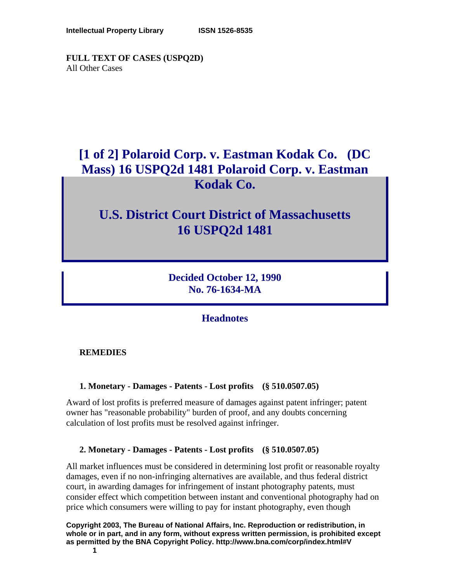**FULL TEXT OF CASES (USPQ2D)** All Other Cases

# **[1 of 2] Polaroid Corp. v. Eastman Kodak Co. (DC Mass) 16 USPQ2d 1481 Polaroid Corp. v. Eastman Kodak Co.**

# **U.S. District Court District of Massachusetts 16 USPQ2d 1481**

**Decided October 12, 1990 No. 76-1634-MA** 

## **Headnotes**

**REMEDIES** 

### **1. Monetary - Damages - Patents - Lost profits (§ 510.0507.05)**

Award of lost profits is preferred measure of damages against patent infringer; patent owner has "reasonable probability" burden of proof, and any doubts concerning calculation of lost profits must be resolved against infringer.

### **2. Monetary - Damages - Patents - Lost profits (§ 510.0507.05)**

All market influences must be considered in determining lost profit or reasonable royalty damages, even if no non-infringing alternatives are available, and thus federal district court, in awarding damages for infringement of instant photography patents, must consider effect which competition between instant and conventional photography had on price which consumers were willing to pay for instant photography, even though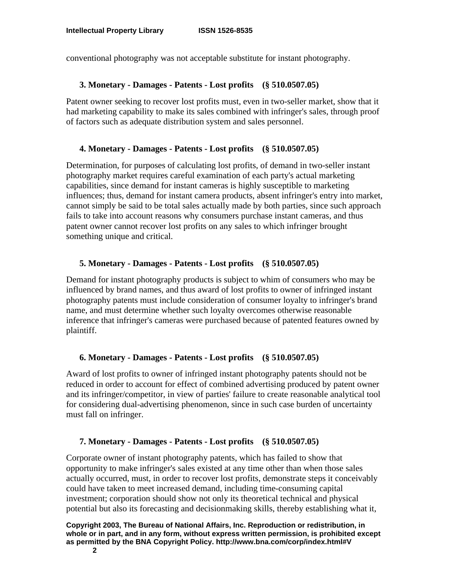conventional photography was not acceptable substitute for instant photography.

### **3. Monetary - Damages - Patents - Lost profits (§ 510.0507.05)**

Patent owner seeking to recover lost profits must, even in two-seller market, show that it had marketing capability to make its sales combined with infringer's sales, through proof of factors such as adequate distribution system and sales personnel.

### **4. Monetary - Damages - Patents - Lost profits (§ 510.0507.05)**

Determination, for purposes of calculating lost profits, of demand in two-seller instant photography market requires careful examination of each party's actual marketing capabilities, since demand for instant cameras is highly susceptible to marketing influences; thus, demand for instant camera products, absent infringer's entry into market, cannot simply be said to be total sales actually made by both parties, since such approach fails to take into account reasons why consumers purchase instant cameras, and thus patent owner cannot recover lost profits on any sales to which infringer brought something unique and critical.

### **5. Monetary - Damages - Patents - Lost profits (§ 510.0507.05)**

Demand for instant photography products is subject to whim of consumers who may be influenced by brand names, and thus award of lost profits to owner of infringed instant photography patents must include consideration of consumer loyalty to infringer's brand name, and must determine whether such loyalty overcomes otherwise reasonable inference that infringer's cameras were purchased because of patented features owned by plaintiff.

### **6. Monetary - Damages - Patents - Lost profits (§ 510.0507.05)**

Award of lost profits to owner of infringed instant photography patents should not be reduced in order to account for effect of combined advertising produced by patent owner and its infringer/competitor, in view of parties' failure to create reasonable analytical tool for considering dual-advertising phenomenon, since in such case burden of uncertainty must fall on infringer.

### **7. Monetary - Damages - Patents - Lost profits (§ 510.0507.05)**

Corporate owner of instant photography patents, which has failed to show that opportunity to make infringer's sales existed at any time other than when those sales actually occurred, must, in order to recover lost profits, demonstrate steps it conceivably could have taken to meet increased demand, including time-consuming capital investment; corporation should show not only its theoretical technical and physical potential but also its forecasting and decisionmaking skills, thereby establishing what it,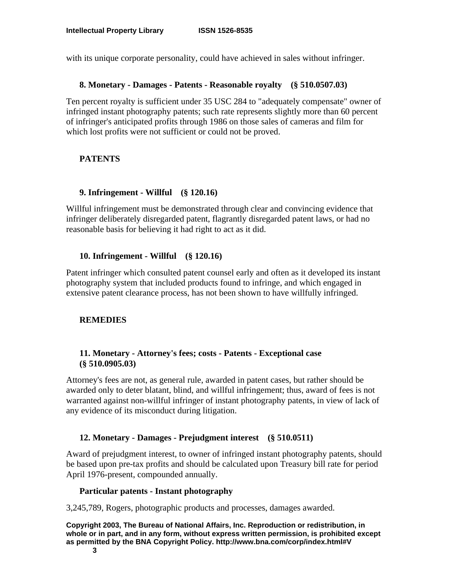with its unique corporate personality, could have achieved in sales without infringer.

### **8. Monetary - Damages - Patents - Reasonable royalty (§ 510.0507.03)**

Ten percent royalty is sufficient under 35 USC 284 to "adequately compensate" owner of infringed instant photography patents; such rate represents slightly more than 60 percent of infringer's anticipated profits through 1986 on those sales of cameras and film for which lost profits were not sufficient or could not be proved.

### **PATENTS**

### **9. Infringement - Willful (§ 120.16)**

Willful infringement must be demonstrated through clear and convincing evidence that infringer deliberately disregarded patent, flagrantly disregarded patent laws, or had no reasonable basis for believing it had right to act as it did.

### **10. Infringement - Willful (§ 120.16)**

Patent infringer which consulted patent counsel early and often as it developed its instant photography system that included products found to infringe, and which engaged in extensive patent clearance process, has not been shown to have willfully infringed.

### **REMEDIES**

### **11. Monetary - Attorney's fees; costs - Patents - Exceptional case (§ 510.0905.03)**

Attorney's fees are not, as general rule, awarded in patent cases, but rather should be awarded only to deter blatant, blind, and willful infringement; thus, award of fees is not warranted against non-willful infringer of instant photography patents, in view of lack of any evidence of its misconduct during litigation.

### **12. Monetary - Damages - Prejudgment interest (§ 510.0511)**

Award of prejudgment interest, to owner of infringed instant photography patents, should be based upon pre-tax profits and should be calculated upon Treasury bill rate for period April 1976-present, compounded annually.

### **Particular patents - Instant photography**

3,245,789, Rogers, photographic products and processes, damages awarded.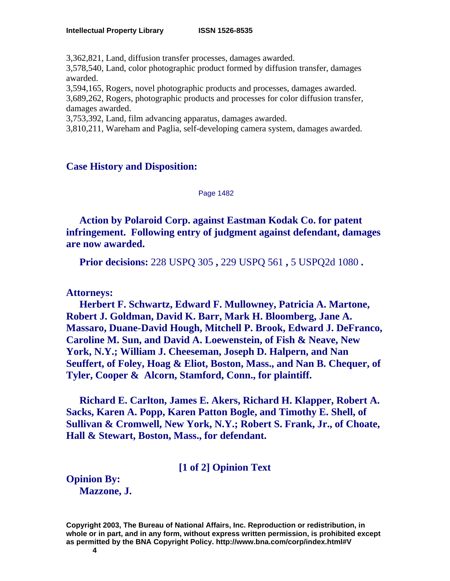3,362,821, Land, diffusion transfer processes, damages awarded.

3,578,540, Land, color photographic product formed by diffusion transfer, damages awarded.

3,594,165, Rogers, novel photographic products and processes, damages awarded.

3,689,262, Rogers, photographic products and processes for color diffusion transfer, damages awarded.

3,753,392, Land, film advancing apparatus, damages awarded.

3,810,211, Wareham and Paglia, self-developing camera system, damages awarded.

### **Case History and Disposition:**

Page 1482

**Action by Polaroid Corp. against Eastman Kodak Co. for patent infringement. Following entry of judgment against defendant, damages are now awarded.** 

**Prior decisions:** 228 USPQ 305 **,** 229 USPQ 561 **,** 5 USPQ2d 1080 **.** 

**Attorneys:**

**Herbert F. Schwartz, Edward F. Mullowney, Patricia A. Martone, Robert J. Goldman, David K. Barr, Mark H. Bloomberg, Jane A. Massaro, Duane-David Hough, Mitchell P. Brook, Edward J. DeFranco, Caroline M. Sun, and David A. Loewenstein, of Fish & Neave, New York, N.Y.; William J. Cheeseman, Joseph D. Halpern, and Nan Seuffert, of Foley, Hoag & Eliot, Boston, Mass., and Nan B. Chequer, of Tyler, Cooper & Alcorn, Stamford, Conn., for plaintiff.** 

**Richard E. Carlton, James E. Akers, Richard H. Klapper, Robert A. Sacks, Karen A. Popp, Karen Patton Bogle, and Timothy E. Shell, of Sullivan & Cromwell, New York, N.Y.; Robert S. Frank, Jr., of Choate, Hall & Stewart, Boston, Mass., for defendant.** 

### **[1 of 2] Opinion Text**

**Opinion By: Mazzone, J.**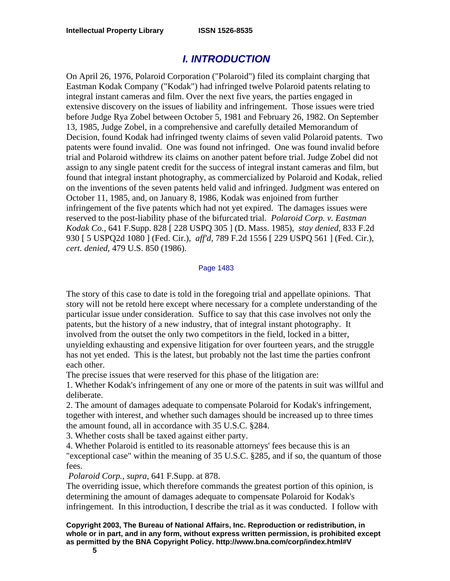## *I. INTRODUCTION*

On April 26, 1976, Polaroid Corporation ("Polaroid") filed its complaint charging that Eastman Kodak Company ("Kodak") had infringed twelve Polaroid patents relating to integral instant cameras and film. Over the next five years, the parties engaged in extensive discovery on the issues of liability and infringement. Those issues were tried before Judge Rya Zobel between October 5, 1981 and February 26, 1982. On September 13, 1985, Judge Zobel, in a comprehensive and carefully detailed Memorandum of Decision, found Kodak had infringed twenty claims of seven valid Polaroid patents. Two patents were found invalid. One was found not infringed. One was found invalid before trial and Polaroid withdrew its claims on another patent before trial. Judge Zobel did not assign to any single patent credit for the success of integral instant cameras and film, but found that integral instant photography, as commercialized by Polaroid and Kodak, relied on the inventions of the seven patents held valid and infringed. Judgment was entered on October 11, 1985, and, on January 8, 1986, Kodak was enjoined from further infringement of the five patents which had not yet expired. The damages issues were reserved to the post-liability phase of the bifurcated trial. *Polaroid Corp. v. Eastman Kodak Co.,* 641 F.Supp. 828 [ 228 USPQ 305 ] (D. Mass. 1985), *stay denied,* 833 F.2d 930 [ 5 USPQ2d 1080 ] (Fed. Cir.), *aff'd,* 789 F.2d 1556 [ 229 USPQ 561 ] (Fed. Cir.), *cert. denied,* 479 U.S. 850 (1986).

### Page 1483

The story of this case to date is told in the foregoing trial and appellate opinions. That story will not be retold here except where necessary for a complete understanding of the particular issue under consideration. Suffice to say that this case involves not only the patents, but the history of a new industry, that of integral instant photography. It involved from the outset the only two competitors in the field, locked in a bitter, unyielding exhausting and expensive litigation for over fourteen years, and the struggle has not yet ended. This is the latest, but probably not the last time the parties confront each other.

The precise issues that were reserved for this phase of the litigation are:

1. Whether Kodak's infringement of any one or more of the patents in suit was willful and deliberate.

2. The amount of damages adequate to compensate Polaroid for Kodak's infringement, together with interest, and whether such damages should be increased up to three times the amount found, all in accordance with 35 U.S.C. §284.

3. Whether costs shall be taxed against either party.

4. Whether Polaroid is entitled to its reasonable attorneys' fees because this is an "exceptional case" within the meaning of 35 U.S.C. §285, and if so, the quantum of those fees.

 *Polaroid Corp., supra,* 641 F.Supp. at 878.

The overriding issue, which therefore commands the greatest portion of this opinion, is determining the amount of damages adequate to compensate Polaroid for Kodak's infringement. In this introduction, I describe the trial as it was conducted. I follow with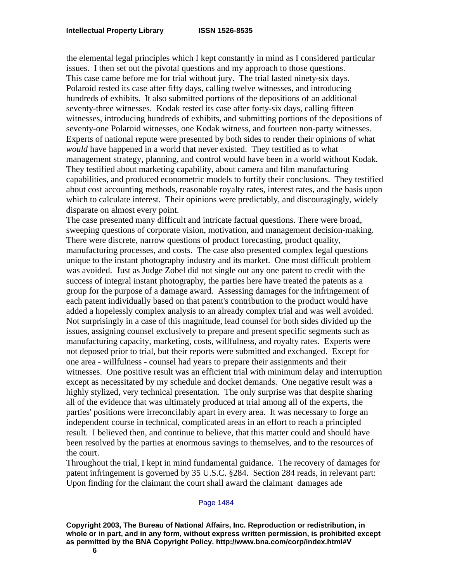the elemental legal principles which I kept constantly in mind as I considered particular issues. I then set out the pivotal questions and my approach to those questions. This case came before me for trial without jury. The trial lasted ninety-six days. Polaroid rested its case after fifty days, calling twelve witnesses, and introducing hundreds of exhibits. It also submitted portions of the depositions of an additional seventy-three witnesses. Kodak rested its case after forty-six days, calling fifteen witnesses, introducing hundreds of exhibits, and submitting portions of the depositions of seventy-one Polaroid witnesses, one Kodak witness, and fourteen non-party witnesses. Experts of national repute were presented by both sides to render their opinions of what *would* have happened in a world that never existed. They testified as to what management strategy, planning, and control would have been in a world without Kodak. They testified about marketing capability, about camera and film manufacturing capabilities, and produced econometric models to fortify their conclusions. They testified about cost accounting methods, reasonable royalty rates, interest rates, and the basis upon which to calculate interest. Their opinions were predictably, and discouragingly, widely disparate on almost every point.

The case presented many difficult and intricate factual questions. There were broad, sweeping questions of corporate vision, motivation, and management decision-making. There were discrete, narrow questions of product forecasting, product quality, manufacturing processes, and costs. The case also presented complex legal questions unique to the instant photography industry and its market. One most difficult problem was avoided. Just as Judge Zobel did not single out any one patent to credit with the success of integral instant photography, the parties here have treated the patents as a group for the purpose of a damage award. Assessing damages for the infringement of each patent individually based on that patent's contribution to the product would have added a hopelessly complex analysis to an already complex trial and was well avoided. Not surprisingly in a case of this magnitude, lead counsel for both sides divided up the issues, assigning counsel exclusively to prepare and present specific segments such as manufacturing capacity, marketing, costs, willfulness, and royalty rates. Experts were not deposed prior to trial, but their reports were submitted and exchanged. Except for one area - willfulness - counsel had years to prepare their assignments and their witnesses. One positive result was an efficient trial with minimum delay and interruption except as necessitated by my schedule and docket demands. One negative result was a highly stylized, very technical presentation. The only surprise was that despite sharing all of the evidence that was ultimately produced at trial among all of the experts, the parties' positions were irreconcilably apart in every area. It was necessary to forge an independent course in technical, complicated areas in an effort to reach a principled result. I believed then, and continue to believe, that this matter could and should have been resolved by the parties at enormous savings to themselves, and to the resources of the court.

Throughout the trial, I kept in mind fundamental guidance. The recovery of damages for patent infringement is governed by 35 U.S.C. §284. Section 284 reads, in relevant part: Upon finding for the claimant the court shall award the claimant damages ade

#### Page 1484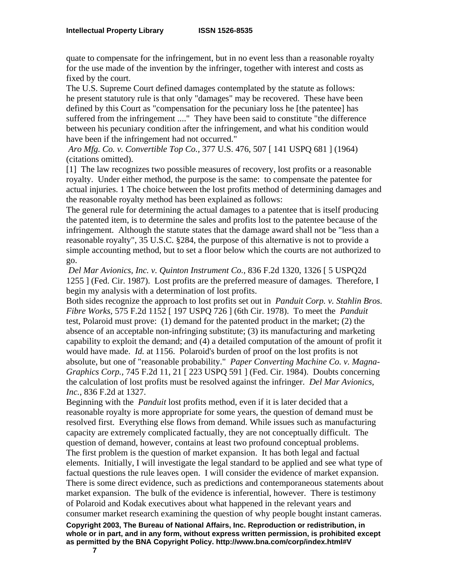quate to compensate for the infringement, but in no event less than a reasonable royalty for the use made of the invention by the infringer, together with interest and costs as fixed by the court.

The U.S. Supreme Court defined damages contemplated by the statute as follows: he present statutory rule is that only "damages" may be recovered. These have been defined by this Court as "compensation for the pecuniary loss he [the patentee] has suffered from the infringement ...." They have been said to constitute "the difference between his pecuniary condition after the infringement, and what his condition would have been if the infringement had not occurred."

 *Aro Mfg. Co. v. Convertible Top Co.,* 377 U.S. 476, 507 [ 141 USPQ 681 ] (1964) (citations omitted).

[1] The law recognizes two possible measures of recovery, lost profits or a reasonable royalty. Under either method, the purpose is the same: to compensate the patentee for actual injuries. 1 The choice between the lost profits method of determining damages and the reasonable royalty method has been explained as follows:

The general rule for determining the actual damages to a patentee that is itself producing the patented item, is to determine the sales and profits lost to the patentee because of the infringement. Although the statute states that the damage award shall not be "less than a reasonable royalty", 35 U.S.C. §284, the purpose of this alternative is not to provide a simple accounting method, but to set a floor below which the courts are not authorized to go.

 *Del Mar Avionics, Inc. v. Quinton Instrument Co.,* 836 F.2d 1320, 1326 [ 5 USPQ2d 1255 ] (Fed. Cir. 1987). Lost profits are the preferred measure of damages. Therefore, I begin my analysis with a determination of lost profits.

Both sides recognize the approach to lost profits set out in *Panduit Corp. v. Stahlin Bros. Fibre Works,* 575 F.2d 1152 [ 197 USPQ 726 ] (6th Cir. 1978). To meet the *Panduit*  test, Polaroid must prove: (1) demand for the patented product in the market; (2) the absence of an acceptable non-infringing substitute; (3) its manufacturing and marketing capability to exploit the demand; and (4) a detailed computation of the amount of profit it would have made. *Id.* at 1156. Polaroid's burden of proof on the lost profits is not absolute, but one of "reasonable probability." *Paper Converting Machine Co. v. Magna-Graphics Corp.,* 745 F.2d 11, 21 [ 223 USPQ 591 ] (Fed. Cir. 1984). Doubts concerning the calculation of lost profits must be resolved against the infringer. *Del Mar Avionics, Inc.,* 836 F.2d at 1327.

**Copyright 2003, The Bureau of National Affairs, Inc. Reproduction or redistribution, in whole or in part, and in any form, without express written permission, is prohibited except**  Beginning with the *Panduit* lost profits method, even if it is later decided that a reasonable royalty is more appropriate for some years, the question of demand must be resolved first. Everything else flows from demand. While issues such as manufacturing capacity are extremely complicated factually, they are not conceptually difficult. The question of demand, however, contains at least two profound conceptual problems. The first problem is the question of market expansion. It has both legal and factual elements. Initially, I will investigate the legal standard to be applied and see what type of factual questions the rule leaves open. I will consider the evidence of market expansion. There is some direct evidence, such as predictions and contemporaneous statements about market expansion. The bulk of the evidence is inferential, however. There is testimony of Polaroid and Kodak executives about what happened in the relevant years and consumer market research examining the question of why people bought instant cameras.

**as permitted by the BNA Copyright Policy. http://www.bna.com/corp/index.html#V**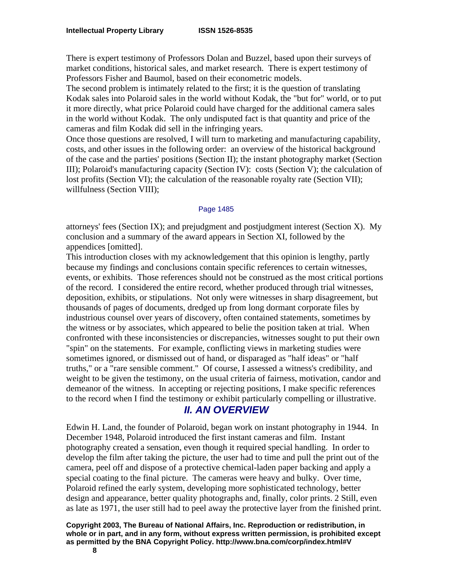There is expert testimony of Professors Dolan and Buzzel, based upon their surveys of market conditions, historical sales, and market research. There is expert testimony of Professors Fisher and Baumol, based on their econometric models.

The second problem is intimately related to the first; it is the question of translating Kodak sales into Polaroid sales in the world without Kodak, the "but for" world, or to put it more directly, what price Polaroid could have charged for the additional camera sales in the world without Kodak. The only undisputed fact is that quantity and price of the cameras and film Kodak did sell in the infringing years.

Once those questions are resolved, I will turn to marketing and manufacturing capability, costs, and other issues in the following order: an overview of the historical background of the case and the parties' positions (Section II); the instant photography market (Section III); Polaroid's manufacturing capacity (Section IV): costs (Section V); the calculation of lost profits (Section VI); the calculation of the reasonable royalty rate (Section VII); willfulness (Section VIII);

#### Page 1485

attorneys' fees (Section IX); and prejudgment and postjudgment interest (Section X). My conclusion and a summary of the award appears in Section XI, followed by the appendices [omitted].

This introduction closes with my acknowledgement that this opinion is lengthy, partly because my findings and conclusions contain specific references to certain witnesses, events, or exhibits. Those references should not be construed as the most critical portions of the record. I considered the entire record, whether produced through trial witnesses, deposition, exhibits, or stipulations. Not only were witnesses in sharp disagreement, but thousands of pages of documents, dredged up from long dormant corporate files by industrious counsel over years of discovery, often contained statements, sometimes by the witness or by associates, which appeared to belie the position taken at trial. When confronted with these inconsistencies or discrepancies, witnesses sought to put their own "spin" on the statements. For example, conflicting views in marketing studies were sometimes ignored, or dismissed out of hand, or disparaged as "half ideas" or "half truths," or a "rare sensible comment." Of course, I assessed a witness's credibility, and weight to be given the testimony, on the usual criteria of fairness, motivation, candor and demeanor of the witness. In accepting or rejecting positions, I make specific references to the record when I find the testimony or exhibit particularly compelling or illustrative.

### *II. AN OVERVIEW*

Edwin H. Land, the founder of Polaroid, began work on instant photography in 1944. In December 1948, Polaroid introduced the first instant cameras and film. Instant photography created a sensation, even though it required special handling. In order to develop the film after taking the picture, the user had to time and pull the print out of the camera, peel off and dispose of a protective chemical-laden paper backing and apply a special coating to the final picture. The cameras were heavy and bulky. Over time, Polaroid refined the early system, developing more sophisticated technology, better design and appearance, better quality photographs and, finally, color prints. 2 Still, even as late as 1971, the user still had to peel away the protective layer from the finished print.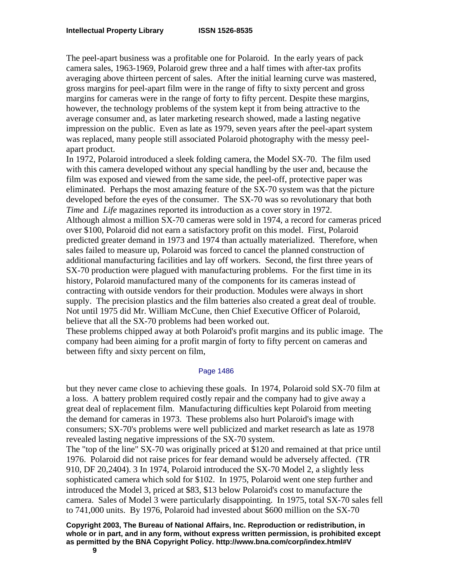The peel-apart business was a profitable one for Polaroid. In the early years of pack camera sales, 1963-1969, Polaroid grew three and a half times with after-tax profits averaging above thirteen percent of sales. After the initial learning curve was mastered, gross margins for peel-apart film were in the range of fifty to sixty percent and gross margins for cameras were in the range of forty to fifty percent. Despite these margins, however, the technology problems of the system kept it from being attractive to the average consumer and, as later marketing research showed, made a lasting negative impression on the public. Even as late as 1979, seven years after the peel-apart system was replaced, many people still associated Polaroid photography with the messy peelapart product.

In 1972, Polaroid introduced a sleek folding camera, the Model SX-70. The film used with this camera developed without any special handling by the user and, because the film was exposed and viewed from the same side, the peel-off, protective paper was eliminated. Perhaps the most amazing feature of the SX-70 system was that the picture developed before the eyes of the consumer. The SX-70 was so revolutionary that both *Time* and *Life* magazines reported its introduction as a cover story in 1972. Although almost a million SX-70 cameras were sold in 1974, a record for cameras priced over \$100, Polaroid did not earn a satisfactory profit on this model. First, Polaroid predicted greater demand in 1973 and 1974 than actually materialized. Therefore, when sales failed to measure up, Polaroid was forced to cancel the planned construction of additional manufacturing facilities and lay off workers. Second, the first three years of SX-70 production were plagued with manufacturing problems. For the first time in its history, Polaroid manufactured many of the components for its cameras instead of contracting with outside vendors for their production. Modules were always in short supply. The precision plastics and the film batteries also created a great deal of trouble. Not until 1975 did Mr. William McCune, then Chief Executive Officer of Polaroid, believe that all the SX-70 problems had been worked out.

These problems chipped away at both Polaroid's profit margins and its public image. The company had been aiming for a profit margin of forty to fifty percent on cameras and between fifty and sixty percent on film,

### Page 1486

but they never came close to achieving these goals. In 1974, Polaroid sold SX-70 film at a loss. A battery problem required costly repair and the company had to give away a great deal of replacement film. Manufacturing difficulties kept Polaroid from meeting the demand for cameras in 1973. These problems also hurt Polaroid's image with consumers; SX-70's problems were well publicized and market research as late as 1978 revealed lasting negative impressions of the SX-70 system.

The "top of the line" SX-70 was originally priced at \$120 and remained at that price until 1976. Polaroid did not raise prices for fear demand would be adversely affected. (TR 910, DF 20,2404). 3 In 1974, Polaroid introduced the SX-70 Model 2, a slightly less sophisticated camera which sold for \$102. In 1975, Polaroid went one step further and introduced the Model 3, priced at \$83, \$13 below Polaroid's cost to manufacture the camera. Sales of Model 3 were particularly disappointing. In 1975, total SX-70 sales fell to 741,000 units. By 1976, Polaroid had invested about \$600 million on the SX-70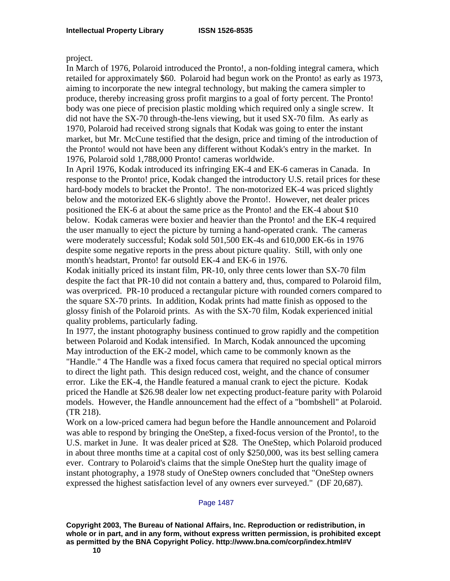### project.

In March of 1976, Polaroid introduced the Pronto!, a non-folding integral camera, which retailed for approximately \$60. Polaroid had begun work on the Pronto! as early as 1973, aiming to incorporate the new integral technology, but making the camera simpler to produce, thereby increasing gross profit margins to a goal of forty percent. The Pronto! body was one piece of precision plastic molding which required only a single screw. It did not have the SX-70 through-the-lens viewing, but it used SX-70 film. As early as 1970, Polaroid had received strong signals that Kodak was going to enter the instant market, but Mr. McCune testified that the design, price and timing of the introduction of the Pronto! would not have been any different without Kodak's entry in the market. In 1976, Polaroid sold 1,788,000 Pronto! cameras worldwide.

In April 1976, Kodak introduced its infringing EK-4 and EK-6 cameras in Canada. In response to the Pronto! price, Kodak changed the introductory U.S. retail prices for these hard-body models to bracket the Pronto!. The non-motorized EK-4 was priced slightly below and the motorized EK-6 slightly above the Pronto!. However, net dealer prices positioned the EK-6 at about the same price as the Pronto! and the EK-4 about \$10 below. Kodak cameras were boxier and heavier than the Pronto! and the EK-4 required the user manually to eject the picture by turning a hand-operated crank. The cameras were moderately successful; Kodak sold 501,500 EK-4s and 610,000 EK-6s in 1976 despite some negative reports in the press about picture quality. Still, with only one month's headstart, Pronto! far outsold EK-4 and EK-6 in 1976.

Kodak initially priced its instant film, PR-10, only three cents lower than SX-70 film despite the fact that PR-10 did not contain a battery and, thus, compared to Polaroid film, was overpriced. PR-10 produced a rectangular picture with rounded corners compared to the square SX-70 prints. In addition, Kodak prints had matte finish as opposed to the glossy finish of the Polaroid prints. As with the SX-70 film, Kodak experienced initial quality problems, particularly fading.

In 1977, the instant photography business continued to grow rapidly and the competition between Polaroid and Kodak intensified. In March, Kodak announced the upcoming May introduction of the EK-2 model, which came to be commonly known as the "Handle." 4 The Handle was a fixed focus camera that required no special optical mirrors to direct the light path. This design reduced cost, weight, and the chance of consumer error. Like the EK-4, the Handle featured a manual crank to eject the picture. Kodak priced the Handle at \$26.98 dealer low net expecting product-feature parity with Polaroid models. However, the Handle announcement had the effect of a "bombshell" at Polaroid. (TR 218).

Work on a low-priced camera had begun before the Handle announcement and Polaroid was able to respond by bringing the OneStep, a fixed-focus version of the Pronto!, to the U.S. market in June. It was dealer priced at \$28. The OneStep, which Polaroid produced in about three months time at a capital cost of only \$250,000, was its best selling camera ever. Contrary to Polaroid's claims that the simple OneStep hurt the quality image of instant photography, a 1978 study of OneStep owners concluded that "OneStep owners expressed the highest satisfaction level of any owners ever surveyed." (DF 20,687).

### Page 1487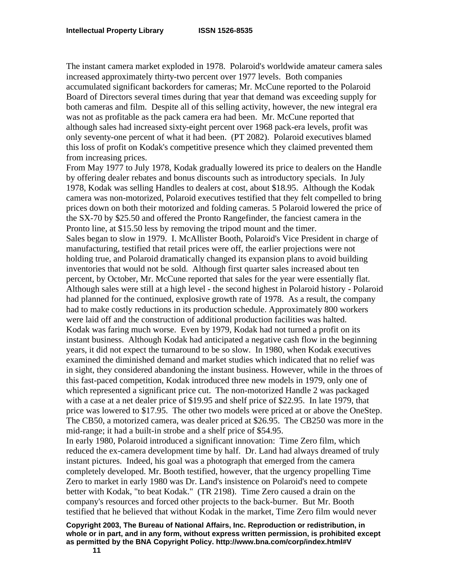The instant camera market exploded in 1978. Polaroid's worldwide amateur camera sales increased approximately thirty-two percent over 1977 levels. Both companies accumulated significant backorders for cameras; Mr. McCune reported to the Polaroid Board of Directors several times during that year that demand was exceeding supply for both cameras and film. Despite all of this selling activity, however, the new integral era was not as profitable as the pack camera era had been. Mr. McCune reported that although sales had increased sixty-eight percent over 1968 pack-era levels, profit was only seventy-one percent of what it had been. (PT 2082). Polaroid executives blamed this loss of profit on Kodak's competitive presence which they claimed prevented them from increasing prices.

From May 1977 to July 1978, Kodak gradually lowered its price to dealers on the Handle by offering dealer rebates and bonus discounts such as introductory specials. In July 1978, Kodak was selling Handles to dealers at cost, about \$18.95. Although the Kodak camera was non-motorized, Polaroid executives testified that they felt compelled to bring prices down on both their motorized and folding cameras. 5 Polaroid lowered the price of the SX-70 by \$25.50 and offered the Pronto Rangefinder, the fanciest camera in the Pronto line, at \$15.50 less by removing the tripod mount and the timer. Sales began to slow in 1979. I. McAllister Booth, Polaroid's Vice President in charge of manufacturing, testified that retail prices were off, the earlier projections were not holding true, and Polaroid dramatically changed its expansion plans to avoid building inventories that would not be sold. Although first quarter sales increased about ten percent, by October, Mr. McCune reported that sales for the year were essentially flat. Although sales were still at a high level - the second highest in Polaroid history - Polaroid had planned for the continued, explosive growth rate of 1978. As a result, the company had to make costly reductions in its production schedule. Approximately 800 workers were laid off and the construction of additional production facilities was halted. Kodak was faring much worse. Even by 1979, Kodak had not turned a profit on its instant business. Although Kodak had anticipated a negative cash flow in the beginning years, it did not expect the turnaround to be so slow. In 1980, when Kodak executives examined the diminished demand and market studies which indicated that no relief was in sight, they considered abandoning the instant business. However, while in the throes of this fast-paced competition, Kodak introduced three new models in 1979, only one of which represented a significant price cut. The non-motorized Handle 2 was packaged with a case at a net dealer price of \$19.95 and shelf price of \$22.95. In late 1979, that price was lowered to \$17.95. The other two models were priced at or above the OneStep. The CB50, a motorized camera, was dealer priced at \$26.95. The CB250 was more in the mid-range; it had a built-in strobe and a shelf price of \$54.95.

In early 1980, Polaroid introduced a significant innovation: Time Zero film, which reduced the ex-camera development time by half. Dr. Land had always dreamed of truly instant pictures. Indeed, his goal was a photograph that emerged from the camera completely developed. Mr. Booth testified, however, that the urgency propelling Time Zero to market in early 1980 was Dr. Land's insistence on Polaroid's need to compete better with Kodak, "to beat Kodak." (TR 2198). Time Zero caused a drain on the company's resources and forced other projects to the back-burner. But Mr. Booth testified that he believed that without Kodak in the market, Time Zero film would never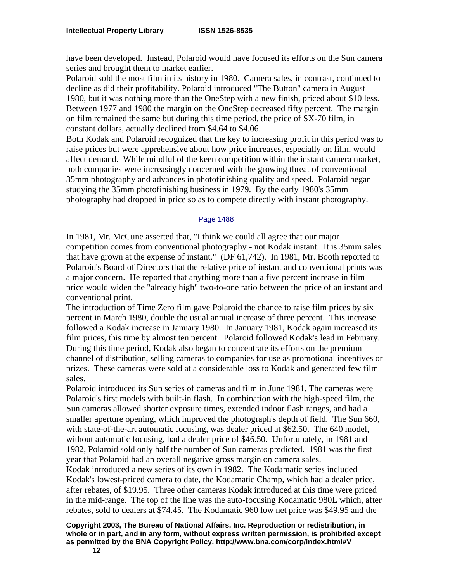have been developed. Instead, Polaroid would have focused its efforts on the Sun camera series and brought them to market earlier.

Polaroid sold the most film in its history in 1980. Camera sales, in contrast, continued to decline as did their profitability. Polaroid introduced "The Button" camera in August 1980, but it was nothing more than the OneStep with a new finish, priced about \$10 less. Between 1977 and 1980 the margin on the OneStep decreased fifty percent. The margin on film remained the same but during this time period, the price of SX-70 film, in constant dollars, actually declined from \$4.64 to \$4.06.

Both Kodak and Polaroid recognized that the key to increasing profit in this period was to raise prices but were apprehensive about how price increases, especially on film, would affect demand. While mindful of the keen competition within the instant camera market, both companies were increasingly concerned with the growing threat of conventional 35mm photography and advances in photofinishing quality and speed. Polaroid began studying the 35mm photofinishing business in 1979. By the early 1980's 35mm photography had dropped in price so as to compete directly with instant photography.

#### Page 1488

In 1981, Mr. McCune asserted that, "I think we could all agree that our major competition comes from conventional photography - not Kodak instant. It is 35mm sales that have grown at the expense of instant." (DF 61,742). In 1981, Mr. Booth reported to Polaroid's Board of Directors that the relative price of instant and conventional prints was a major concern. He reported that anything more than a five percent increase in film price would widen the "already high" two-to-one ratio between the price of an instant and conventional print.

The introduction of Time Zero film gave Polaroid the chance to raise film prices by six percent in March 1980, double the usual annual increase of three percent. This increase followed a Kodak increase in January 1980. In January 1981, Kodak again increased its film prices, this time by almost ten percent. Polaroid followed Kodak's lead in February. During this time period, Kodak also began to concentrate its efforts on the premium channel of distribution, selling cameras to companies for use as promotional incentives or prizes. These cameras were sold at a considerable loss to Kodak and generated few film sales.

Polaroid introduced its Sun series of cameras and film in June 1981. The cameras were Polaroid's first models with built-in flash. In combination with the high-speed film, the Sun cameras allowed shorter exposure times, extended indoor flash ranges, and had a smaller aperture opening, which improved the photograph's depth of field. The Sun 660, with state-of-the-art automatic focusing, was dealer priced at \$62.50. The 640 model, without automatic focusing, had a dealer price of \$46.50. Unfortunately, in 1981 and 1982, Polaroid sold only half the number of Sun cameras predicted. 1981 was the first year that Polaroid had an overall negative gross margin on camera sales.

Kodak introduced a new series of its own in 1982. The Kodamatic series included Kodak's lowest-priced camera to date, the Kodamatic Champ, which had a dealer price, after rebates, of \$19.95. Three other cameras Kodak introduced at this time were priced in the mid-range. The top of the line was the auto-focusing Kodamatic 980L which, after rebates, sold to dealers at \$74.45. The Kodamatic 960 low net price was \$49.95 and the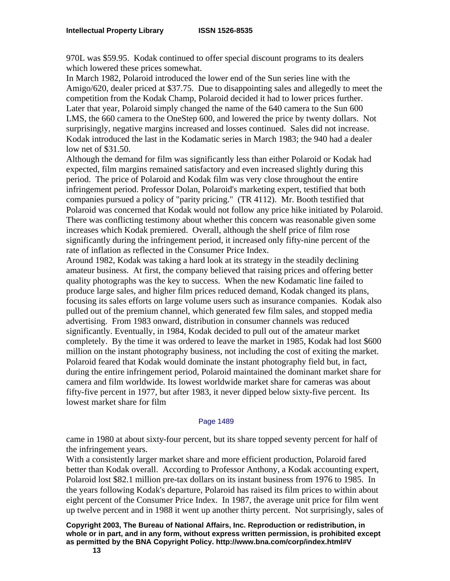970L was \$59.95. Kodak continued to offer special discount programs to its dealers which lowered these prices somewhat.

In March 1982, Polaroid introduced the lower end of the Sun series line with the Amigo/620, dealer priced at \$37.75. Due to disappointing sales and allegedly to meet the competition from the Kodak Champ, Polaroid decided it had to lower prices further. Later that year, Polaroid simply changed the name of the 640 camera to the Sun 600 LMS, the 660 camera to the OneStep 600, and lowered the price by twenty dollars. Not surprisingly, negative margins increased and losses continued. Sales did not increase. Kodak introduced the last in the Kodamatic series in March 1983; the 940 had a dealer low net of \$31.50.

Although the demand for film was significantly less than either Polaroid or Kodak had expected, film margins remained satisfactory and even increased slightly during this period. The price of Polaroid and Kodak film was very close throughout the entire infringement period. Professor Dolan, Polaroid's marketing expert, testified that both companies pursued a policy of "parity pricing." (TR 4112). Mr. Booth testified that Polaroid was concerned that Kodak would not follow any price hike initiated by Polaroid. There was conflicting testimony about whether this concern was reasonable given some increases which Kodak premiered. Overall, although the shelf price of film rose significantly during the infringement period, it increased only fifty-nine percent of the rate of inflation as reflected in the Consumer Price Index.

Around 1982, Kodak was taking a hard look at its strategy in the steadily declining amateur business. At first, the company believed that raising prices and offering better quality photographs was the key to success. When the new Kodamatic line failed to produce large sales, and higher film prices reduced demand, Kodak changed its plans, focusing its sales efforts on large volume users such as insurance companies. Kodak also pulled out of the premium channel, which generated few film sales, and stopped media advertising. From 1983 onward, distribution in consumer channels was reduced significantly. Eventually, in 1984, Kodak decided to pull out of the amateur market completely. By the time it was ordered to leave the market in 1985, Kodak had lost \$600 million on the instant photography business, not including the cost of exiting the market. Polaroid feared that Kodak would dominate the instant photography field but, in fact, during the entire infringement period, Polaroid maintained the dominant market share for camera and film worldwide. Its lowest worldwide market share for cameras was about fifty-five percent in 1977, but after 1983, it never dipped below sixty-five percent. Its lowest market share for film

### Page 1489

came in 1980 at about sixty-four percent, but its share topped seventy percent for half of the infringement years.

With a consistently larger market share and more efficient production, Polaroid fared better than Kodak overall. According to Professor Anthony, a Kodak accounting expert, Polaroid lost \$82.1 million pre-tax dollars on its instant business from 1976 to 1985. In the years following Kodak's departure, Polaroid has raised its film prices to within about eight percent of the Consumer Price Index. In 1987, the average unit price for film went up twelve percent and in 1988 it went up another thirty percent. Not surprisingly, sales of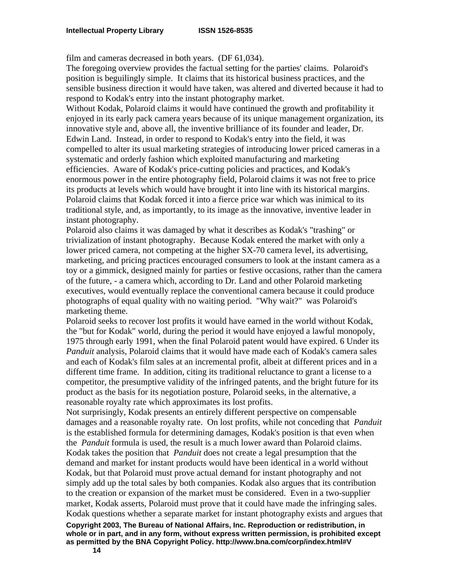film and cameras decreased in both years. (DF 61,034).

The foregoing overview provides the factual setting for the parties' claims. Polaroid's position is beguilingly simple. It claims that its historical business practices, and the sensible business direction it would have taken, was altered and diverted because it had to respond to Kodak's entry into the instant photography market.

Without Kodak, Polaroid claims it would have continued the growth and profitability it enjoyed in its early pack camera years because of its unique management organization, its innovative style and, above all, the inventive brilliance of its founder and leader, Dr. Edwin Land. Instead, in order to respond to Kodak's entry into the field, it was compelled to alter its usual marketing strategies of introducing lower priced cameras in a systematic and orderly fashion which exploited manufacturing and marketing efficiencies. Aware of Kodak's price-cutting policies and practices, and Kodak's enormous power in the entire photography field, Polaroid claims it was not free to price its products at levels which would have brought it into line with its historical margins. Polaroid claims that Kodak forced it into a fierce price war which was inimical to its traditional style, and, as importantly, to its image as the innovative, inventive leader in instant photography.

Polaroid also claims it was damaged by what it describes as Kodak's "trashing" or trivialization of instant photography. Because Kodak entered the market with only a lower priced camera, not competing at the higher SX-70 camera level, its advertising, marketing, and pricing practices encouraged consumers to look at the instant camera as a toy or a gimmick, designed mainly for parties or festive occasions, rather than the camera of the future, - a camera which, according to Dr. Land and other Polaroid marketing executives, would eventually replace the conventional camera because it could produce photographs of equal quality with no waiting period. "Why wait?" was Polaroid's marketing theme.

Polaroid seeks to recover lost profits it would have earned in the world without Kodak, the "but for Kodak" world, during the period it would have enjoyed a lawful monopoly, 1975 through early 1991, when the final Polaroid patent would have expired. 6 Under its *Panduit* analysis, Polaroid claims that it would have made each of Kodak's camera sales and each of Kodak's film sales at an incremental profit, albeit at different prices and in a different time frame. In addition, citing its traditional reluctance to grant a license to a competitor, the presumptive validity of the infringed patents, and the bright future for its product as the basis for its negotiation posture, Polaroid seeks, in the alternative, a reasonable royalty rate which approximates its lost profits.

**Copyright 2003, The Bureau of National Affairs, Inc. Reproduction or redistribution, in whole or in part, and in any form, without express written permission, is prohibited except**  Not surprisingly, Kodak presents an entirely different perspective on compensable damages and a reasonable royalty rate. On lost profits, while not conceding that *Panduit*  is the established formula for determining damages, Kodak's position is that even when the *Panduit* formula is used, the result is a much lower award than Polaroid claims. Kodak takes the position that *Panduit* does not create a legal presumption that the demand and market for instant products would have been identical in a world without Kodak, but that Polaroid must prove actual demand for instant photography and not simply add up the total sales by both companies. Kodak also argues that its contribution to the creation or expansion of the market must be considered. Even in a two-supplier market, Kodak asserts, Polaroid must prove that it could have made the infringing sales. Kodak questions whether a separate market for instant photography exists and argues that

**as permitted by the BNA Copyright Policy. http://www.bna.com/corp/index.html#V**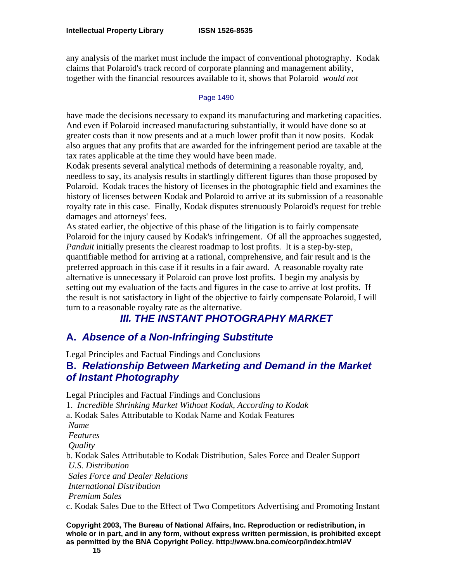any analysis of the market must include the impact of conventional photography. Kodak claims that Polaroid's track record of corporate planning and management ability, together with the financial resources available to it, shows that Polaroid *would not* 

#### Page 1490

have made the decisions necessary to expand its manufacturing and marketing capacities. And even if Polaroid increased manufacturing substantially, it would have done so at greater costs than it now presents and at a much lower profit than it now posits. Kodak also argues that any profits that are awarded for the infringement period are taxable at the tax rates applicable at the time they would have been made.

Kodak presents several analytical methods of determining a reasonable royalty, and, needless to say, its analysis results in startlingly different figures than those proposed by Polaroid. Kodak traces the history of licenses in the photographic field and examines the history of licenses between Kodak and Polaroid to arrive at its submission of a reasonable royalty rate in this case. Finally, Kodak disputes strenuously Polaroid's request for treble damages and attorneys' fees.

As stated earlier, the objective of this phase of the litigation is to fairly compensate Polaroid for the injury caused by Kodak's infringement. Of all the approaches suggested, *Panduit* initially presents the clearest roadmap to lost profits. It is a step-by-step, quantifiable method for arriving at a rational, comprehensive, and fair result and is the preferred approach in this case if it results in a fair award. A reasonable royalty rate alternative is unnecessary if Polaroid can prove lost profits. I begin my analysis by setting out my evaluation of the facts and figures in the case to arrive at lost profits. If the result is not satisfactory in light of the objective to fairly compensate Polaroid, I will turn to a reasonable royalty rate as the alternative.

## *III. THE INSTANT PHOTOGRAPHY MARKET*

## **A.** *Absence of a Non-Infringing Substitute*

Legal Principles and Factual Findings and Conclusions

## **B.** *Relationship Between Marketing and Demand in the Market of Instant Photography*

Legal Principles and Factual Findings and Conclusions 1. *Incredible Shrinking Market Without Kodak, According to Kodak*  a. Kodak Sales Attributable to Kodak Name and Kodak Features  *Name Features Quality*  b. Kodak Sales Attributable to Kodak Distribution, Sales Force and Dealer Support  *U.S. Distribution Sales Force and Dealer Relations International Distribution Premium Sales*  c. Kodak Sales Due to the Effect of Two Competitors Advertising and Promoting Instant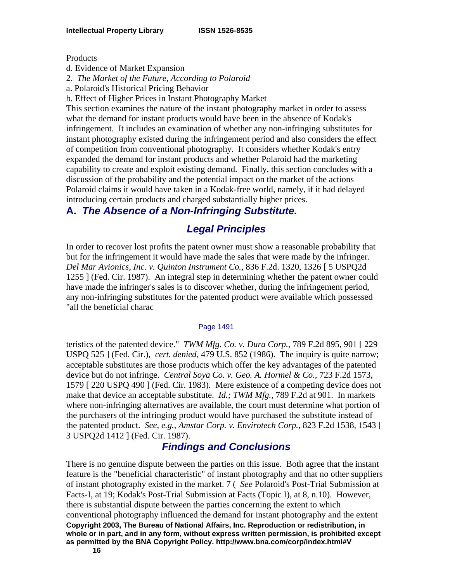**Products** 

- d. Evidence of Market Expansion
- 2. *The Market of the Future, According to Polaroid*
- a. Polaroid's Historical Pricing Behavior
- b. Effect of Higher Prices in Instant Photography Market

This section examines the nature of the instant photography market in order to assess what the demand for instant products would have been in the absence of Kodak's infringement. It includes an examination of whether any non-infringing substitutes for instant photography existed during the infringement period and also considers the effect of competition from conventional photography. It considers whether Kodak's entry expanded the demand for instant products and whether Polaroid had the marketing capability to create and exploit existing demand. Finally, this section concludes with a discussion of the probability and the potential impact on the market of the actions Polaroid claims it would have taken in a Kodak-free world, namely, if it had delayed introducing certain products and charged substantially higher prices.

## **A.** *The Absence of a Non-Infringing Substitute.*

## *Legal Principles*

In order to recover lost profits the patent owner must show a reasonable probability that but for the infringement it would have made the sales that were made by the infringer. *Del Mar Avionics, Inc. v. Quinton Instrument Co.,* 836 F.2d. 1320, 1326 [ 5 USPQ2d 1255 ] (Fed. Cir. 1987). An integral step in determining whether the patent owner could have made the infringer's sales is to discover whether, during the infringement period, any non-infringing substitutes for the patented product were available which possessed "all the beneficial charac

### Page 1491

teristics of the patented device." *TWM Mfg. Co. v. Dura Corp.,* 789 F.2d 895, 901 [ 229 USPQ 525 ] (Fed. Cir.), *cert. denied,* 479 U.S. 852 (1986). The inquiry is quite narrow; acceptable substitutes are those products which offer the key advantages of the patented device but do not infringe. *Central Soya Co. v. Geo. A. Hormel & Co.,* 723 F.2d 1573, 1579 [ 220 USPQ 490 ] (Fed. Cir. 1983). Mere existence of a competing device does not make that device an acceptable substitute. *Id.; TWM Mfg.,* 789 F.2d at 901. In markets where non-infringing alternatives are available, the court must determine what portion of the purchasers of the infringing product would have purchased the substitute instead of the patented product. *See, e.g., Amstar Corp. v. Envirotech Corp.,* 823 F.2d 1538, 1543 [ 3 USPQ2d 1412 ] (Fed. Cir. 1987).

## *Findings and Conclusions*

**Copyright 2003, The Bureau of National Affairs, Inc. Reproduction or redistribution, in whole or in part, and in any form, without express written permission, is prohibited except as permitted by the BNA Copyright Policy. http://www.bna.com/corp/index.html#V** There is no genuine dispute between the parties on this issue. Both agree that the instant feature is the "beneficial characteristic" of instant photography and that no other suppliers of instant photography existed in the market. 7 ( *See* Polaroid's Post-Trial Submission at Facts-I, at 19; Kodak's Post-Trial Submission at Facts (Topic I), at 8, n.10). However, there is substantial dispute between the parties concerning the extent to which conventional photography influenced the demand for instant photography and the extent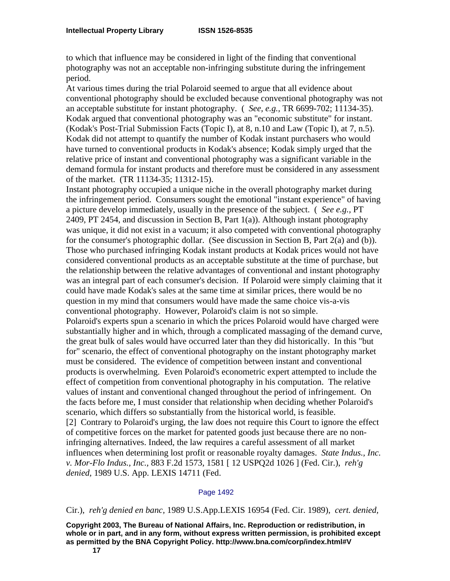to which that influence may be considered in light of the finding that conventional photography was not an acceptable non-infringing substitute during the infringement period.

At various times during the trial Polaroid seemed to argue that all evidence about conventional photography should be excluded because conventional photography was not an acceptable substitute for instant photography. ( *See, e.g.,* TR 6699-702; 11134-35). Kodak argued that conventional photography was an "economic substitute" for instant. (Kodak's Post-Trial Submission Facts (Topic I), at 8, n.10 and Law (Topic I), at 7, n.5). Kodak did not attempt to quantify the number of Kodak instant purchasers who would have turned to conventional products in Kodak's absence; Kodak simply urged that the relative price of instant and conventional photography was a significant variable in the demand formula for instant products and therefore must be considered in any assessment of the market. (TR 11134-35; 11312-15).

Instant photography occupied a unique niche in the overall photography market during the infringement period. Consumers sought the emotional "instant experience" of having a picture develop immediately, usually in the presence of the subject. ( *See e.g.,* PT 2409, PT 2454, and discussion in Section B, Part 1(a)). Although instant photography was unique, it did not exist in a vacuum; it also competed with conventional photography for the consumer's photographic dollar. (See discussion in Section B, Part 2(a) and (b)). Those who purchased infringing Kodak instant products at Kodak prices would not have considered conventional products as an acceptable substitute at the time of purchase, but the relationship between the relative advantages of conventional and instant photography was an integral part of each consumer's decision. If Polaroid were simply claiming that it could have made Kodak's sales at the same time at similar prices, there would be no question in my mind that consumers would have made the same choice vis-a-vis conventional photography. However, Polaroid's claim is not so simple. Polaroid's experts spun a scenario in which the prices Polaroid would have charged were substantially higher and in which, through a complicated massaging of the demand curve, the great bulk of sales would have occurred later than they did historically. In this "but for" scenario, the effect of conventional photography on the instant photography market must be considered. The evidence of competition between instant and conventional products is overwhelming. Even Polaroid's econometric expert attempted to include the effect of competition from conventional photography in his computation. The relative values of instant and conventional changed throughout the period of infringement. On the facts before me, I must consider that relationship when deciding whether Polaroid's scenario, which differs so substantially from the historical world, is feasible. [2] Contrary to Polaroid's urging, the law does not require this Court to ignore the effect of competitive forces on the market for patented goods just because there are no noninfringing alternatives. Indeed, the law requires a careful assessment of all market influences when determining lost profit or reasonable royalty damages. *State Indus., Inc. v. Mor-Flo Indus., Inc.,* 883 F.2d 1573, 1581 [ 12 USPQ2d 1026 ] (Fed. Cir.), *reh'g denied,* 1989 U.S. App. LEXIS 14711 (Fed.

### Page 1492

Cir.), *reh'g denied en banc,* 1989 U.S.App.LEXIS 16954 (Fed. Cir. 1989), *cert. denied,*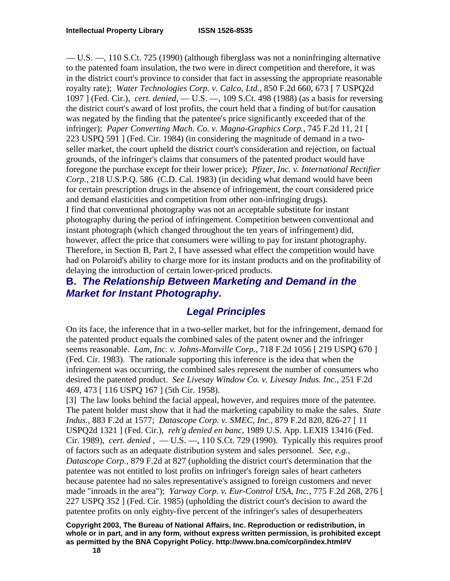— U.S. —, 110 S.Ct. 725 (1990) (although fiberglass was not a noninfringing alternative to the patented foam insulation, the two were in direct competition and therefore, it was in the district court's province to consider that fact in assessing the appropriate reasonable royalty rate); *Water Technologies Corp. v. Calco, Ltd.,* 850 F.2d 660, 673 [ 7 USPQ2d 1097 ] (Fed. Cir.), *cert. denied,* — U.S. —, 109 S.Ct. 498 (1988) (as a basis for reversing the district court's award of lost profits, the court held that a finding of but/for causation was negated by the finding that the patentee's price significantly exceeded that of the infringer); *Paper Converting Mach. Co. v. Magna-Graphics Corp.,* 745 F.2d 11, 21 [ 223 USPQ 591 ] (Fed. Cir. 1984) (in considering the magnitude of demand in a twoseller market, the court upheld the district court's consideration and rejection, on factual grounds, of the infringer's claims that consumers of the patented product would have foregone the purchase except for their lower price); *Pfizer, Inc. v. International Rectifier Corp.,* 218 U.S.P.Q. 586 (C.D. Cal. 1983) (in deciding what demand would have been for certain prescription drugs in the absence of infringement, the court considered price and demand elasticities and competition from other non-infringing drugs). I find that conventional photography was not an acceptable substitute for instant photography during the period of infringement. Competition between conventional and instant photograph (which changed throughout the ten years of infringement) did, however, affect the price that consumers were willing to pay for instant photography.

Therefore, in Section B, Part 2, I have assessed what effect the competition would have had on Polaroid's ability to charge more for its instant products and on the profitability of delaying the introduction of certain lower-priced products.

## **B.** *The Relationship Between Marketing and Demand in the Market for Instant Photography.*

## *Legal Principles*

On its face, the inference that in a two-seller market, but for the infringement, demand for the patented product equals the combined sales of the patent owner and the infringer seems reasonable. *Lam, Inc. v. Johns-Manville Corp.,* 718 F.2d 1056 [ 219 USPQ 670 ] (Fed. Cir. 1983). The rationale supporting this inference is the idea that when the infringement was occurring, the combined sales represent the number of consumers who desired the patented product. *See Livesay Window Co. v. Livesay Indus. Inc.,* 251 F.2d 469, 473 [ 116 USPQ 167 ] (5th Cir. 1958).

[3] The law looks behind the facial appeal, however, and requires more of the patentee. The patent holder must show that it had the marketing capability to make the sales. *State Indus.,* 883 F.2d at 1577; *Datascope Corp. v. SMEC, Inc.,* 879 F.2d 820, 826-27 [ 11 USPQ2d 1321 ] (Fed. Cir.), *reh'g denied en banc,* 1989 U.S. App. LEXIS 13416 (Fed. Cir. 1989), *cert. denied* , — U.S. —, 110 S.Ct. 729 (1990). Typically this requires proof of factors such as an adequate distribution system and sales personnel. *See, e.g., Datascope Corp.,* 879 F.2d at 827 (upholding the district court's determination that the patentee was not entitled to lost profits on infringer's foreign sales of heart catheters because patentee had no sales representative's assigned to foreign customers and never made "inroads in the area"); *Yarway Corp. v. Eur-Control USA, Inc.,* 775 F.2d 268, 276 [ 227 USPQ 352 ] (Fed. Cir. 1985) (upholding the district court's decision to award the patentee profits on only eighty-five percent of the infringer's sales of desuperheaters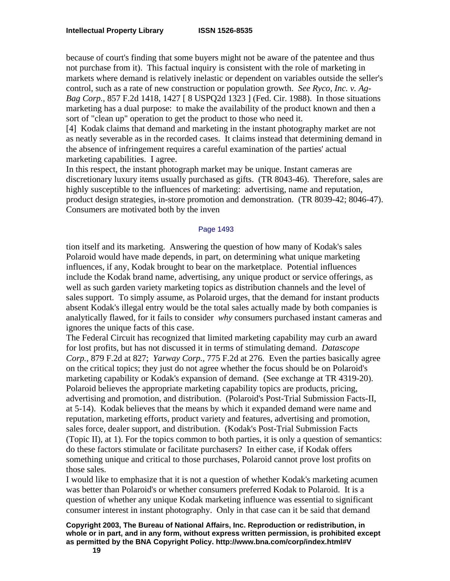because of court's finding that some buyers might not be aware of the patentee and thus not purchase from it). This factual inquiry is consistent with the role of marketing in markets where demand is relatively inelastic or dependent on variables outside the seller's control, such as a rate of new construction or population growth. *See Ryco, Inc. v. Ag-Bag Corp.,* 857 F.2d 1418, 1427 [ 8 USPQ2d 1323 ] (Fed. Cir. 1988). In those situations marketing has a dual purpose: to make the availability of the product known and then a sort of "clean up" operation to get the product to those who need it.

[4] Kodak claims that demand and marketing in the instant photography market are not as neatly severable as in the recorded cases. It claims instead that determining demand in the absence of infringement requires a careful examination of the parties' actual marketing capabilities. I agree.

In this respect, the instant photograph market may be unique. Instant cameras are discretionary luxury items usually purchased as gifts. (TR 8043-46). Therefore, sales are highly susceptible to the influences of marketing: advertising, name and reputation, product design strategies, in-store promotion and demonstration. (TR 8039-42; 8046-47). Consumers are motivated both by the inven

#### Page 1493

tion itself and its marketing. Answering the question of how many of Kodak's sales Polaroid would have made depends, in part, on determining what unique marketing influences, if any, Kodak brought to bear on the marketplace. Potential influences include the Kodak brand name, advertising, any unique product or service offerings, as well as such garden variety marketing topics as distribution channels and the level of sales support. To simply assume, as Polaroid urges, that the demand for instant products absent Kodak's illegal entry would be the total sales actually made by both companies is analytically flawed, for it fails to consider *why* consumers purchased instant cameras and ignores the unique facts of this case.

The Federal Circuit has recognized that limited marketing capability may curb an award for lost profits, but has not discussed it in terms of stimulating demand. *Datascope Corp.,* 879 F.2d at 827; *Yarway Corp.,* 775 F.2d at 276. Even the parties basically agree on the critical topics; they just do not agree whether the focus should be on Polaroid's marketing capability or Kodak's expansion of demand. (See exchange at TR 4319-20). Polaroid believes the appropriate marketing capability topics are products, pricing, advertising and promotion, and distribution. (Polaroid's Post-Trial Submission Facts-II, at 5-14). Kodak believes that the means by which it expanded demand were name and reputation, marketing efforts, product variety and features, advertising and promotion, sales force, dealer support, and distribution. (Kodak's Post-Trial Submission Facts (Topic II), at 1). For the topics common to both parties, it is only a question of semantics: do these factors stimulate or facilitate purchasers? In either case, if Kodak offers something unique and critical to those purchases, Polaroid cannot prove lost profits on those sales.

I would like to emphasize that it is not a question of whether Kodak's marketing acumen was better than Polaroid's or whether consumers preferred Kodak to Polaroid. It is a question of whether any unique Kodak marketing influence was essential to significant consumer interest in instant photography. Only in that case can it be said that demand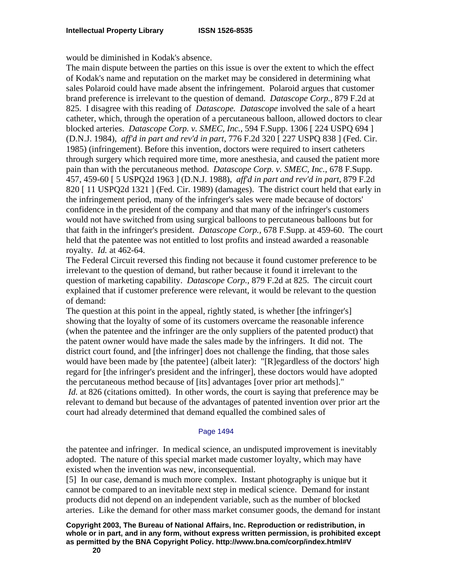would be diminished in Kodak's absence.

The main dispute between the parties on this issue is over the extent to which the effect of Kodak's name and reputation on the market may be considered in determining what sales Polaroid could have made absent the infringement. Polaroid argues that customer brand preference is irrelevant to the question of demand. *Datascope Corp.,* 879 F.2d at 825. I disagree with this reading of *Datascope. Datascope* involved the sale of a heart catheter, which, through the operation of a percutaneous balloon, allowed doctors to clear blocked arteries. *Datascope Corp. v. SMEC, Inc.,* 594 F.Supp. 1306 [ 224 USPQ 694 ] (D.N.J. 1984), *aff'd in part and rev'd in part,* 776 F.2d 320 [ 227 USPQ 838 ] (Fed. Cir. 1985) (infringement). Before this invention, doctors were required to insert catheters through surgery which required more time, more anesthesia, and caused the patient more pain than with the percutaneous method. *Datascope Corp. v. SMEC, Inc.,* 678 F.Supp. 457, 459-60 [ 5 USPQ2d 1963 ] (D.N.J. 1988), *aff'd in part and rev'd in part,* 879 F.2d 820 [ 11 USPQ2d 1321 ] (Fed. Cir. 1989) (damages). The district court held that early in the infringement period, many of the infringer's sales were made because of doctors' confidence in the president of the company and that many of the infringer's customers would not have switched from using surgical balloons to percutaneous balloons but for that faith in the infringer's president. *Datascope Corp.,* 678 F.Supp. at 459-60. The court held that the patentee was not entitled to lost profits and instead awarded a reasonable royalty. *Id.* at 462-64.

The Federal Circuit reversed this finding not because it found customer preference to be irrelevant to the question of demand, but rather because it found it irrelevant to the question of marketing capability. *Datascope Corp.,* 879 F.2d at 825. The circuit court explained that if customer preference were relevant, it would be relevant to the question of demand:

The question at this point in the appeal, rightly stated, is whether [the infringer's] showing that the loyalty of some of its customers overcame the reasonable inference (when the patentee and the infringer are the only suppliers of the patented product) that the patent owner would have made the sales made by the infringers. It did not. The district court found, and [the infringer] does not challenge the finding, that those sales would have been made by [the patentee] (albeit later): "[R]egardless of the doctors' high regard for [the infringer's president and the infringer], these doctors would have adopted the percutaneous method because of [its] advantages [over prior art methods]." *Id.* at 826 (citations omitted). In other words, the court is saying that preference may be relevant to demand but because of the advantages of patented invention over prior art the court had already determined that demand equalled the combined sales of

#### Page 1494

the patentee and infringer. In medical science, an undisputed improvement is inevitably adopted. The nature of this special market made customer loyalty, which may have existed when the invention was new, inconsequential.

[5] In our case, demand is much more complex. Instant photography is unique but it cannot be compared to an inevitable next step in medical science. Demand for instant products did not depend on an independent variable, such as the number of blocked arteries. Like the demand for other mass market consumer goods, the demand for instant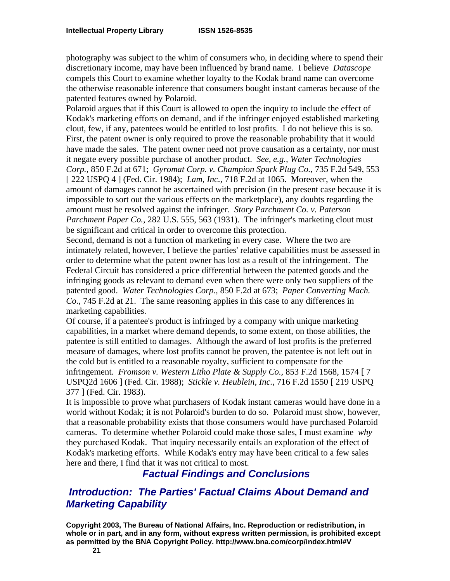photography was subject to the whim of consumers who, in deciding where to spend their discretionary income, may have been influenced by brand name. I believe *Datascope*  compels this Court to examine whether loyalty to the Kodak brand name can overcome the otherwise reasonable inference that consumers bought instant cameras because of the patented features owned by Polaroid.

Polaroid argues that if this Court is allowed to open the inquiry to include the effect of Kodak's marketing efforts on demand, and if the infringer enjoyed established marketing clout, few, if any, patentees would be entitled to lost profits. I do not believe this is so. First, the patent owner is only required to prove the reasonable probability that it would have made the sales. The patent owner need not prove causation as a certainty, nor must it negate every possible purchase of another product. *See, e.g., Water Technologies Corp.,* 850 F.2d at 671; *Gyromat Corp. v. Champion Spark Plug Co.,* 735 F.2d 549, 553 [ 222 USPQ 4 ] (Fed. Cir. 1984); *Lam, Inc.,* 718 F.2d at 1065. Moreover, when the amount of damages cannot be ascertained with precision (in the present case because it is impossible to sort out the various effects on the marketplace), any doubts regarding the amount must be resolved against the infringer. *Story Parchment Co. v. Paterson Parchment Paper Co.,* 282 U.S. 555, 563 (1931). The infringer's marketing clout must be significant and critical in order to overcome this protection.

Second, demand is not a function of marketing in every case. Where the two are intimately related, however, I believe the parties' relative capabilities must be assessed in order to determine what the patent owner has lost as a result of the infringement. The Federal Circuit has considered a price differential between the patented goods and the infringing goods as relevant to demand even when there were only two suppliers of the patented good. *Water Technologies Corp.,* 850 F.2d at 673; *Paper Converting Mach. Co.,* 745 F.2d at 21. The same reasoning applies in this case to any differences in marketing capabilities.

Of course, if a patentee's product is infringed by a company with unique marketing capabilities, in a market where demand depends, to some extent, on those abilities, the patentee is still entitled to damages. Although the award of lost profits is the preferred measure of damages, where lost profits cannot be proven, the patentee is not left out in the cold but is entitled to a reasonable royalty, sufficient to compensate for the infringement. *Fromson v. Western Litho Plate & Supply Co.,* 853 F.2d 1568, 1574 [ 7 USPQ2d 1606 ] (Fed. Cir. 1988); *Stickle v. Heublein, Inc.,* 716 F.2d 1550 [ 219 USPQ 377 ] (Fed. Cir. 1983).

It is impossible to prove what purchasers of Kodak instant cameras would have done in a world without Kodak; it is not Polaroid's burden to do so. Polaroid must show, however, that a reasonable probability exists that those consumers would have purchased Polaroid cameras. To determine whether Polaroid could make those sales, I must examine *why*  they purchased Kodak. That inquiry necessarily entails an exploration of the effect of Kodak's marketing efforts. While Kodak's entry may have been critical to a few sales here and there, I find that it was not critical to most.

## *Factual Findings and Conclusions*

## *Introduction: The Parties' Factual Claims About Demand and Marketing Capability*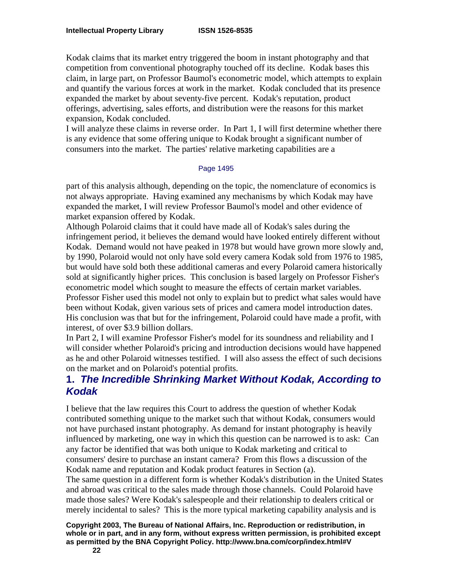Kodak claims that its market entry triggered the boom in instant photography and that competition from conventional photography touched off its decline. Kodak bases this claim, in large part, on Professor Baumol's econometric model, which attempts to explain and quantify the various forces at work in the market. Kodak concluded that its presence expanded the market by about seventy-five percent. Kodak's reputation, product offerings, advertising, sales efforts, and distribution were the reasons for this market expansion, Kodak concluded.

I will analyze these claims in reverse order. In Part 1, I will first determine whether there is any evidence that some offering unique to Kodak brought a significant number of consumers into the market. The parties' relative marketing capabilities are a

### Page 1495

part of this analysis although, depending on the topic, the nomenclature of economics is not always appropriate. Having examined any mechanisms by which Kodak may have expanded the market, I will review Professor Baumol's model and other evidence of market expansion offered by Kodak.

Although Polaroid claims that it could have made all of Kodak's sales during the infringement period, it believes the demand would have looked entirely different without Kodak. Demand would not have peaked in 1978 but would have grown more slowly and, by 1990, Polaroid would not only have sold every camera Kodak sold from 1976 to 1985, but would have sold both these additional cameras and every Polaroid camera historically sold at significantly higher prices. This conclusion is based largely on Professor Fisher's econometric model which sought to measure the effects of certain market variables. Professor Fisher used this model not only to explain but to predict what sales would have been without Kodak, given various sets of prices and camera model introduction dates. His conclusion was that but for the infringement, Polaroid could have made a profit, with interest, of over \$3.9 billion dollars.

In Part 2, I will examine Professor Fisher's model for its soundness and reliability and I will consider whether Polaroid's pricing and introduction decisions would have happened as he and other Polaroid witnesses testified. I will also assess the effect of such decisions on the market and on Polaroid's potential profits.

## **1.** *The Incredible Shrinking Market Without Kodak, According to Kodak*

I believe that the law requires this Court to address the question of whether Kodak contributed something unique to the market such that without Kodak, consumers would not have purchased instant photography. As demand for instant photography is heavily influenced by marketing, one way in which this question can be narrowed is to ask: Can any factor be identified that was both unique to Kodak marketing and critical to consumers' desire to purchase an instant camera? From this flows a discussion of the Kodak name and reputation and Kodak product features in Section (a).

The same question in a different form is whether Kodak's distribution in the United States and abroad was critical to the sales made through those channels. Could Polaroid have made those sales? Were Kodak's salespeople and their relationship to dealers critical or merely incidental to sales? This is the more typical marketing capability analysis and is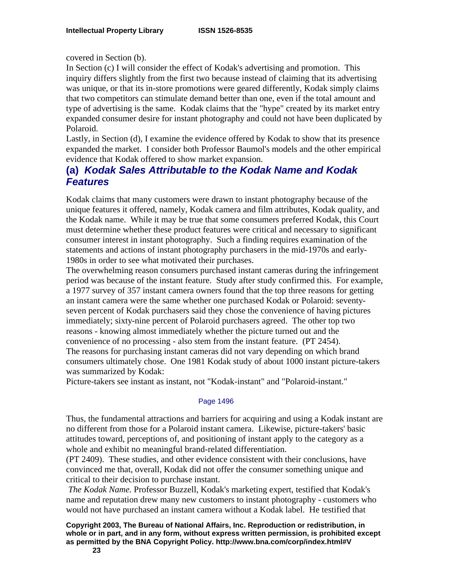### covered in Section (b).

In Section (c) I will consider the effect of Kodak's advertising and promotion. This inquiry differs slightly from the first two because instead of claiming that its advertising was unique, or that its in-store promotions were geared differently, Kodak simply claims that two competitors can stimulate demand better than one, even if the total amount and type of advertising is the same. Kodak claims that the "hype" created by its market entry expanded consumer desire for instant photography and could not have been duplicated by Polaroid.

Lastly, in Section (d), I examine the evidence offered by Kodak to show that its presence expanded the market. I consider both Professor Baumol's models and the other empirical evidence that Kodak offered to show market expansion.

## **(a)** *Kodak Sales Attributable to the Kodak Name and Kodak Features*

Kodak claims that many customers were drawn to instant photography because of the unique features it offered, namely, Kodak camera and film attributes, Kodak quality, and the Kodak name. While it may be true that some consumers preferred Kodak, this Court must determine whether these product features were critical and necessary to significant consumer interest in instant photography. Such a finding requires examination of the statements and actions of instant photography purchasers in the mid-1970s and early-1980s in order to see what motivated their purchases.

The overwhelming reason consumers purchased instant cameras during the infringement period was because of the instant feature. Study after study confirmed this. For example, a 1977 survey of 357 instant camera owners found that the top three reasons for getting an instant camera were the same whether one purchased Kodak or Polaroid: seventyseven percent of Kodak purchasers said they chose the convenience of having pictures immediately; sixty-nine percent of Polaroid purchasers agreed. The other top two reasons - knowing almost immediately whether the picture turned out and the convenience of no processing - also stem from the instant feature. (PT 2454). The reasons for purchasing instant cameras did not vary depending on which brand consumers ultimately chose. One 1981 Kodak study of about 1000 instant picture-takers was summarized by Kodak:

Picture-takers see instant as instant, not "Kodak-instant" and "Polaroid-instant."

### Page 1496

Thus, the fundamental attractions and barriers for acquiring and using a Kodak instant are no different from those for a Polaroid instant camera. Likewise, picture-takers' basic attitudes toward, perceptions of, and positioning of instant apply to the category as a whole and exhibit no meaningful brand-related differentiation.

(PT 2409). These studies, and other evidence consistent with their conclusions, have convinced me that, overall, Kodak did not offer the consumer something unique and critical to their decision to purchase instant.

 *The Kodak Name.* Professor Buzzell, Kodak's marketing expert, testified that Kodak's name and reputation drew many new customers to instant photography - customers who would not have purchased an instant camera without a Kodak label. He testified that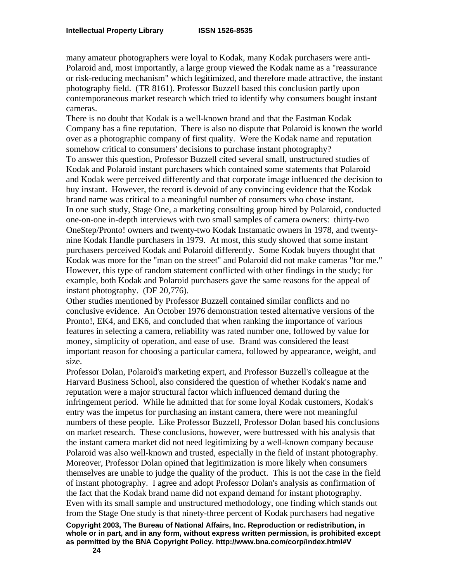many amateur photographers were loyal to Kodak, many Kodak purchasers were anti-Polaroid and, most importantly, a large group viewed the Kodak name as a "reassurance or risk-reducing mechanism" which legitimized, and therefore made attractive, the instant photography field. (TR 8161). Professor Buzzell based this conclusion partly upon contemporaneous market research which tried to identify why consumers bought instant cameras.

There is no doubt that Kodak is a well-known brand and that the Eastman Kodak Company has a fine reputation. There is also no dispute that Polaroid is known the world over as a photographic company of first quality. Were the Kodak name and reputation somehow critical to consumers' decisions to purchase instant photography? To answer this question, Professor Buzzell cited several small, unstructured studies of Kodak and Polaroid instant purchasers which contained some statements that Polaroid and Kodak were perceived differently and that corporate image influenced the decision to buy instant. However, the record is devoid of any convincing evidence that the Kodak brand name was critical to a meaningful number of consumers who chose instant. In one such study, Stage One, a marketing consulting group hired by Polaroid, conducted one-on-one in-depth interviews with two small samples of camera owners: thirty-two OneStep/Pronto! owners and twenty-two Kodak Instamatic owners in 1978, and twentynine Kodak Handle purchasers in 1979. At most, this study showed that some instant purchasers perceived Kodak and Polaroid differently. Some Kodak buyers thought that Kodak was more for the "man on the street" and Polaroid did not make cameras "for me." However, this type of random statement conflicted with other findings in the study; for example, both Kodak and Polaroid purchasers gave the same reasons for the appeal of instant photography. (DF 20,776).

Other studies mentioned by Professor Buzzell contained similar conflicts and no conclusive evidence. An October 1976 demonstration tested alternative versions of the Pronto!, EK4, and EK6, and concluded that when ranking the importance of various features in selecting a camera, reliability was rated number one, followed by value for money, simplicity of operation, and ease of use. Brand was considered the least important reason for choosing a particular camera, followed by appearance, weight, and size.

Professor Dolan, Polaroid's marketing expert, and Professor Buzzell's colleague at the Harvard Business School, also considered the question of whether Kodak's name and reputation were a major structural factor which influenced demand during the infringement period. While he admitted that for some loyal Kodak customers, Kodak's entry was the impetus for purchasing an instant camera, there were not meaningful numbers of these people. Like Professor Buzzell, Professor Dolan based his conclusions on market research. These conclusions, however, were buttressed with his analysis that the instant camera market did not need legitimizing by a well-known company because Polaroid was also well-known and trusted, especially in the field of instant photography. Moreover, Professor Dolan opined that legitimization is more likely when consumers themselves are unable to judge the quality of the product. This is not the case in the field of instant photography. I agree and adopt Professor Dolan's analysis as confirmation of the fact that the Kodak brand name did not expand demand for instant photography. Even with its small sample and unstructured methodology, one finding which stands out from the Stage One study is that ninety-three percent of Kodak purchasers had negative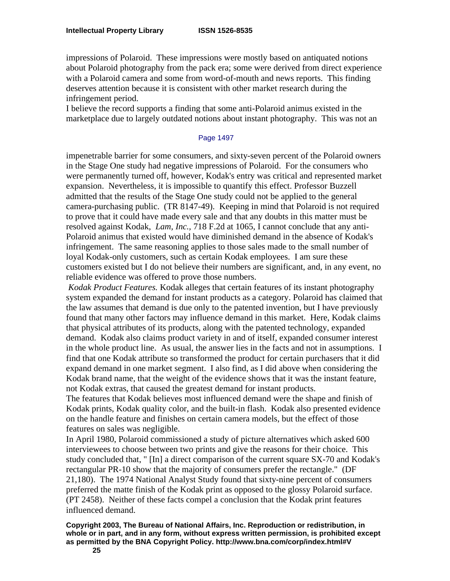impressions of Polaroid. These impressions were mostly based on antiquated notions about Polaroid photography from the pack era; some were derived from direct experience with a Polaroid camera and some from word-of-mouth and news reports. This finding deserves attention because it is consistent with other market research during the infringement period.

I believe the record supports a finding that some anti-Polaroid animus existed in the marketplace due to largely outdated notions about instant photography. This was not an

#### Page 1497

impenetrable barrier for some consumers, and sixty-seven percent of the Polaroid owners in the Stage One study had negative impressions of Polaroid. For the consumers who were permanently turned off, however, Kodak's entry was critical and represented market expansion. Nevertheless, it is impossible to quantify this effect. Professor Buzzell admitted that the results of the Stage One study could not be applied to the general camera-purchasing public. (TR 8147-49). Keeping in mind that Polaroid is not required to prove that it could have made every sale and that any doubts in this matter must be resolved against Kodak, *Lam, Inc.,* 718 F.2d at 1065, I cannot conclude that any anti-Polaroid animus that existed would have diminished demand in the absence of Kodak's infringement. The same reasoning applies to those sales made to the small number of loyal Kodak-only customers, such as certain Kodak employees. I am sure these customers existed but I do not believe their numbers are significant, and, in any event, no reliable evidence was offered to prove those numbers.

 *Kodak Product Features.* Kodak alleges that certain features of its instant photography system expanded the demand for instant products as a category. Polaroid has claimed that the law assumes that demand is due only to the patented invention, but I have previously found that many other factors may influence demand in this market. Here, Kodak claims that physical attributes of its products, along with the patented technology, expanded demand. Kodak also claims product variety in and of itself, expanded consumer interest in the whole product line. As usual, the answer lies in the facts and not in assumptions. I find that one Kodak attribute so transformed the product for certain purchasers that it did expand demand in one market segment. I also find, as I did above when considering the Kodak brand name, that the weight of the evidence shows that it was the instant feature, not Kodak extras, that caused the greatest demand for instant products.

The features that Kodak believes most influenced demand were the shape and finish of Kodak prints, Kodak quality color, and the built-in flash. Kodak also presented evidence on the handle feature and finishes on certain camera models, but the effect of those features on sales was negligible.

In April 1980, Polaroid commissioned a study of picture alternatives which asked 600 interviewees to choose between two prints and give the reasons for their choice. This study concluded that, " [In] a direct comparison of the current square SX-70 and Kodak's rectangular PR-10 show that the majority of consumers prefer the rectangle." (DF 21,180). The 1974 National Analyst Study found that sixty-nine percent of consumers preferred the matte finish of the Kodak print as opposed to the glossy Polaroid surface. (PT 2458). Neither of these facts compel a conclusion that the Kodak print features influenced demand.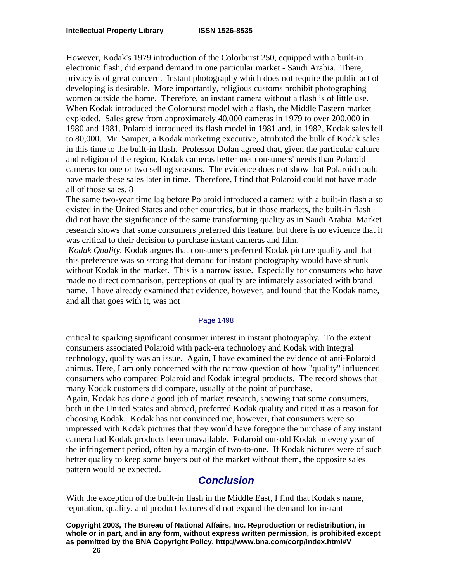However, Kodak's 1979 introduction of the Colorburst 250, equipped with a built-in electronic flash, did expand demand in one particular market - Saudi Arabia. There, privacy is of great concern. Instant photography which does not require the public act of developing is desirable. More importantly, religious customs prohibit photographing women outside the home. Therefore, an instant camera without a flash is of little use. When Kodak introduced the Colorburst model with a flash, the Middle Eastern market exploded. Sales grew from approximately 40,000 cameras in 1979 to over 200,000 in 1980 and 1981. Polaroid introduced its flash model in 1981 and, in 1982, Kodak sales fell to 80,000. Mr. Samper, a Kodak marketing executive, attributed the bulk of Kodak sales in this time to the built-in flash. Professor Dolan agreed that, given the particular culture and religion of the region, Kodak cameras better met consumers' needs than Polaroid cameras for one or two selling seasons. The evidence does not show that Polaroid could have made these sales later in time. Therefore, I find that Polaroid could not have made all of those sales. 8

The same two-year time lag before Polaroid introduced a camera with a built-in flash also existed in the United States and other countries, but in those markets, the built-in flash did not have the significance of the same transforming quality as in Saudi Arabia. Market research shows that some consumers preferred this feature, but there is no evidence that it was critical to their decision to purchase instant cameras and film.

 *Kodak Quality.* Kodak argues that consumers preferred Kodak picture quality and that this preference was so strong that demand for instant photography would have shrunk without Kodak in the market. This is a narrow issue. Especially for consumers who have made no direct comparison, perceptions of quality are intimately associated with brand name. I have already examined that evidence, however, and found that the Kodak name, and all that goes with it, was not

#### Page 1498

critical to sparking significant consumer interest in instant photography. To the extent consumers associated Polaroid with pack-era technology and Kodak with integral technology, quality was an issue. Again, I have examined the evidence of anti-Polaroid animus. Here, I am only concerned with the narrow question of how "quality" influenced consumers who compared Polaroid and Kodak integral products. The record shows that many Kodak customers did compare, usually at the point of purchase.

Again, Kodak has done a good job of market research, showing that some consumers, both in the United States and abroad, preferred Kodak quality and cited it as a reason for choosing Kodak. Kodak has not convinced me, however, that consumers were so impressed with Kodak pictures that they would have foregone the purchase of any instant camera had Kodak products been unavailable. Polaroid outsold Kodak in every year of the infringement period, often by a margin of two-to-one. If Kodak pictures were of such better quality to keep some buyers out of the market without them, the opposite sales pattern would be expected.

### *Conclusion*

With the exception of the built-in flash in the Middle East, I find that Kodak's name, reputation, quality, and product features did not expand the demand for instant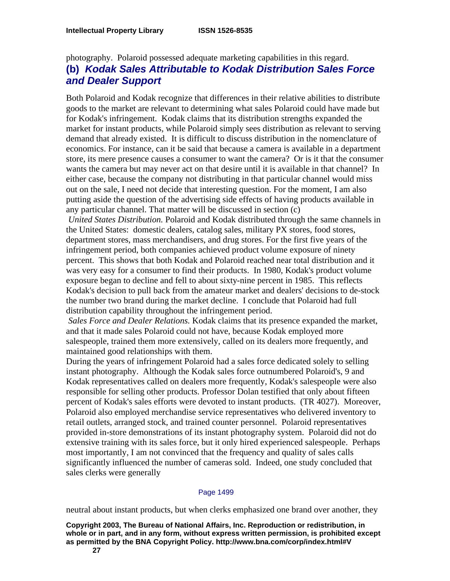## photography. Polaroid possessed adequate marketing capabilities in this regard. **(b)** *Kodak Sales Attributable to Kodak Distribution Sales Force and Dealer Support*

Both Polaroid and Kodak recognize that differences in their relative abilities to distribute goods to the market are relevant to determining what sales Polaroid could have made but for Kodak's infringement. Kodak claims that its distribution strengths expanded the market for instant products, while Polaroid simply sees distribution as relevant to serving demand that already existed. It is difficult to discuss distribution in the nomenclature of economics. For instance, can it be said that because a camera is available in a department store, its mere presence causes a consumer to want the camera? Or is it that the consumer wants the camera but may never act on that desire until it is available in that channel? In either case, because the company not distributing in that particular channel would miss out on the sale, I need not decide that interesting question. For the moment, I am also putting aside the question of the advertising side effects of having products available in any particular channel. That matter will be discussed in section (c)

 *United States Distribution.* Polaroid and Kodak distributed through the same channels in the United States: domestic dealers, catalog sales, military PX stores, food stores, department stores, mass merchandisers, and drug stores. For the first five years of the infringement period, both companies achieved product volume exposure of ninety percent. This shows that both Kodak and Polaroid reached near total distribution and it was very easy for a consumer to find their products. In 1980, Kodak's product volume exposure began to decline and fell to about sixty-nine percent in 1985. This reflects Kodak's decision to pull back from the amateur market and dealers' decisions to de-stock the number two brand during the market decline. I conclude that Polaroid had full distribution capability throughout the infringement period.

 *Sales Force and Dealer Relations.* Kodak claims that its presence expanded the market, and that it made sales Polaroid could not have, because Kodak employed more salespeople, trained them more extensively, called on its dealers more frequently, and maintained good relationships with them.

During the years of infringement Polaroid had a sales force dedicated solely to selling instant photography. Although the Kodak sales force outnumbered Polaroid's, 9 and Kodak representatives called on dealers more frequently, Kodak's salespeople were also responsible for selling other products. Professor Dolan testified that only about fifteen percent of Kodak's sales efforts were devoted to instant products. (TR 4027). Moreover, Polaroid also employed merchandise service representatives who delivered inventory to retail outlets, arranged stock, and trained counter personnel. Polaroid representatives provided in-store demonstrations of its instant photography system. Polaroid did not do extensive training with its sales force, but it only hired experienced salespeople. Perhaps most importantly, I am not convinced that the frequency and quality of sales calls significantly influenced the number of cameras sold. Indeed, one study concluded that sales clerks were generally

#### Page 1499

neutral about instant products, but when clerks emphasized one brand over another, they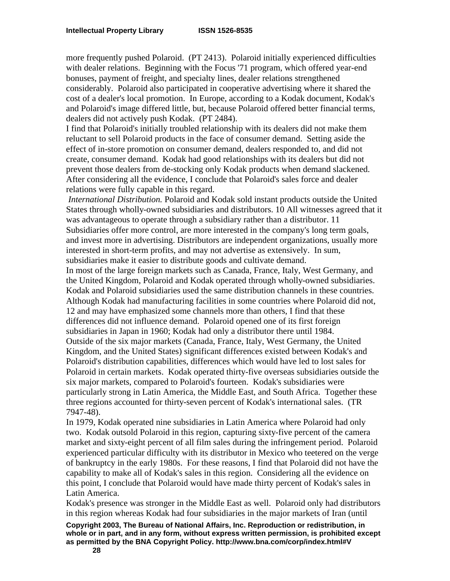more frequently pushed Polaroid. (PT 2413). Polaroid initially experienced difficulties with dealer relations. Beginning with the Focus '71 program, which offered year-end bonuses, payment of freight, and specialty lines, dealer relations strengthened considerably. Polaroid also participated in cooperative advertising where it shared the cost of a dealer's local promotion. In Europe, according to a Kodak document, Kodak's and Polaroid's image differed little, but, because Polaroid offered better financial terms, dealers did not actively push Kodak. (PT 2484).

I find that Polaroid's initially troubled relationship with its dealers did not make them reluctant to sell Polaroid products in the face of consumer demand. Setting aside the effect of in-store promotion on consumer demand, dealers responded to, and did not create, consumer demand. Kodak had good relationships with its dealers but did not prevent those dealers from de-stocking only Kodak products when demand slackened. After considering all the evidence, I conclude that Polaroid's sales force and dealer relations were fully capable in this regard.

 *International Distribution.* Polaroid and Kodak sold instant products outside the United States through wholly-owned subsidiaries and distributors. 10 All witnesses agreed that it was advantageous to operate through a subsidiary rather than a distributor. 11 Subsidiaries offer more control, are more interested in the company's long term goals, and invest more in advertising. Distributors are independent organizations, usually more interested in short-term profits, and may not advertise as extensively. In sum, subsidiaries make it easier to distribute goods and cultivate demand.

In most of the large foreign markets such as Canada, France, Italy, West Germany, and the United Kingdom, Polaroid and Kodak operated through wholly-owned subsidiaries. Kodak and Polaroid subsidiaries used the same distribution channels in these countries. Although Kodak had manufacturing facilities in some countries where Polaroid did not, 12 and may have emphasized some channels more than others, I find that these differences did not influence demand. Polaroid opened one of its first foreign subsidiaries in Japan in 1960; Kodak had only a distributor there until 1984. Outside of the six major markets (Canada, France, Italy, West Germany, the United Kingdom, and the United States) significant differences existed between Kodak's and Polaroid's distribution capabilities, differences which would have led to lost sales for Polaroid in certain markets. Kodak operated thirty-five overseas subsidiaries outside the six major markets, compared to Polaroid's fourteen. Kodak's subsidiaries were particularly strong in Latin America, the Middle East, and South Africa. Together these three regions accounted for thirty-seven percent of Kodak's international sales. (TR 7947-48).

In 1979, Kodak operated nine subsidiaries in Latin America where Polaroid had only two. Kodak outsold Polaroid in this region, capturing sixty-five percent of the camera market and sixty-eight percent of all film sales during the infringement period. Polaroid experienced particular difficulty with its distributor in Mexico who teetered on the verge of bankruptcy in the early 1980s. For these reasons, I find that Polaroid did not have the capability to make all of Kodak's sales in this region. Considering all the evidence on this point, I conclude that Polaroid would have made thirty percent of Kodak's sales in Latin America.

Kodak's presence was stronger in the Middle East as well. Polaroid only had distributors in this region whereas Kodak had four subsidiaries in the major markets of Iran (until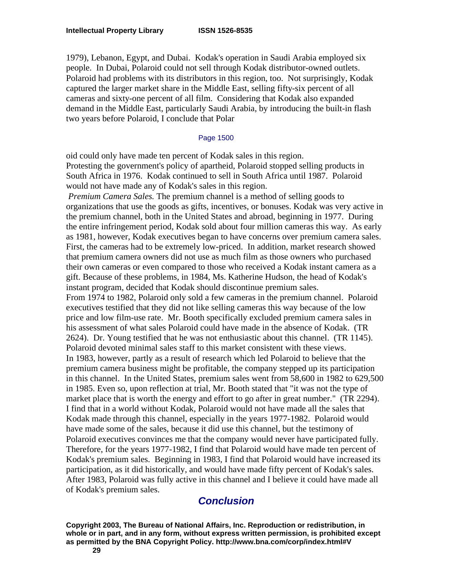1979), Lebanon, Egypt, and Dubai. Kodak's operation in Saudi Arabia employed six people. In Dubai, Polaroid could not sell through Kodak distributor-owned outlets. Polaroid had problems with its distributors in this region, too. Not surprisingly, Kodak captured the larger market share in the Middle East, selling fifty-six percent of all cameras and sixty-one percent of all film. Considering that Kodak also expanded demand in the Middle East, particularly Saudi Arabia, by introducing the built-in flash two years before Polaroid, I conclude that Polar

#### Page 1500

oid could only have made ten percent of Kodak sales in this region. Protesting the government's policy of apartheid, Polaroid stopped selling products in South Africa in 1976. Kodak continued to sell in South Africa until 1987. Polaroid would not have made any of Kodak's sales in this region.

 *Premium Camera Sales.* The premium channel is a method of selling goods to organizations that use the goods as gifts, incentives, or bonuses. Kodak was very active in the premium channel, both in the United States and abroad, beginning in 1977. During the entire infringement period, Kodak sold about four million cameras this way. As early as 1981, however, Kodak executives began to have concerns over premium camera sales. First, the cameras had to be extremely low-priced. In addition, market research showed that premium camera owners did not use as much film as those owners who purchased their own cameras or even compared to those who received a Kodak instant camera as a gift. Because of these problems, in 1984, Ms. Katherine Hudson, the head of Kodak's instant program, decided that Kodak should discontinue premium sales. From 1974 to 1982, Polaroid only sold a few cameras in the premium channel. Polaroid executives testified that they did not like selling cameras this way because of the low price and low film-use rate. Mr. Booth specifically excluded premium camera sales in his assessment of what sales Polaroid could have made in the absence of Kodak. (TR 2624). Dr. Young testified that he was not enthusiastic about this channel. (TR 1145). Polaroid devoted minimal sales staff to this market consistent with these views. In 1983, however, partly as a result of research which led Polaroid to believe that the premium camera business might be profitable, the company stepped up its participation in this channel. In the United States, premium sales went from 58,600 in 1982 to 629,500 in 1985. Even so, upon reflection at trial, Mr. Booth stated that "it was not the type of market place that is worth the energy and effort to go after in great number." (TR 2294). I find that in a world without Kodak, Polaroid would not have made all the sales that Kodak made through this channel, especially in the years 1977-1982. Polaroid would have made some of the sales, because it did use this channel, but the testimony of Polaroid executives convinces me that the company would never have participated fully. Therefore, for the years 1977-1982, I find that Polaroid would have made ten percent of Kodak's premium sales. Beginning in 1983, I find that Polaroid would have increased its participation, as it did historically, and would have made fifty percent of Kodak's sales. After 1983, Polaroid was fully active in this channel and I believe it could have made all of Kodak's premium sales.

## *Conclusion*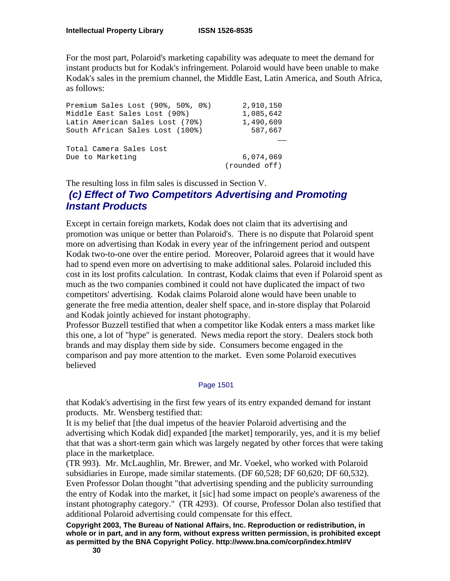For the most part, Polaroid's marketing capability was adequate to meet the demand for instant products but for Kodak's infringement. Polaroid would have been unable to make Kodak's sales in the premium channel, the Middle East, Latin America, and South Africa, as follows:

| Premium Sales Lost (90%, 50%, 0%) | 2,910,150     |
|-----------------------------------|---------------|
| Middle East Sales Lost (90%)      | 1,085,642     |
| Latin American Sales Lost (70%)   | 1,490,609     |
| South African Sales Lost (100%)   | 587,667       |
|                                   |               |
| Total Camera Sales Lost           |               |
| Due to Marketing                  | 6,074,069     |
|                                   | (rounded off) |

The resulting loss in film sales is discussed in Section V.  *(c) Effect of Two Competitors Advertising and Promoting Instant Products* 

Except in certain foreign markets, Kodak does not claim that its advertising and promotion was unique or better than Polaroid's. There is no dispute that Polaroid spent more on advertising than Kodak in every year of the infringement period and outspent Kodak two-to-one over the entire period. Moreover, Polaroid agrees that it would have had to spend even more on advertising to make additional sales. Polaroid included this cost in its lost profits calculation. In contrast, Kodak claims that even if Polaroid spent as much as the two companies combined it could not have duplicated the impact of two competitors' advertising. Kodak claims Polaroid alone would have been unable to generate the free media attention, dealer shelf space, and in-store display that Polaroid and Kodak jointly achieved for instant photography.

Professor Buzzell testified that when a competitor like Kodak enters a mass market like this one, a lot of "hype" is generated. News media report the story. Dealers stock both brands and may display them side by side. Consumers become engaged in the comparison and pay more attention to the market. Even some Polaroid executives believed

#### Page 1501

that Kodak's advertising in the first few years of its entry expanded demand for instant products. Mr. Wensberg testified that:

It is my belief that [the dual impetus of the heavier Polaroid advertising and the advertising which Kodak did] expanded [the market] temporarily, yes, and it is my belief that that was a short-term gain which was largely negated by other forces that were taking place in the marketplace.

(TR 993). Mr. McLaughlin, Mr. Brewer, and Mr. Voekel, who worked with Polaroid subsidiaries in Europe, made similar statements. (DF 60,528; DF 60,620; DF 60,532). Even Professor Dolan thought "that advertising spending and the publicity surrounding the entry of Kodak into the market, it [sic] had some impact on people's awareness of the instant photography category." (TR 4293). Of course, Professor Dolan also testified that additional Polaroid advertising could compensate for this effect.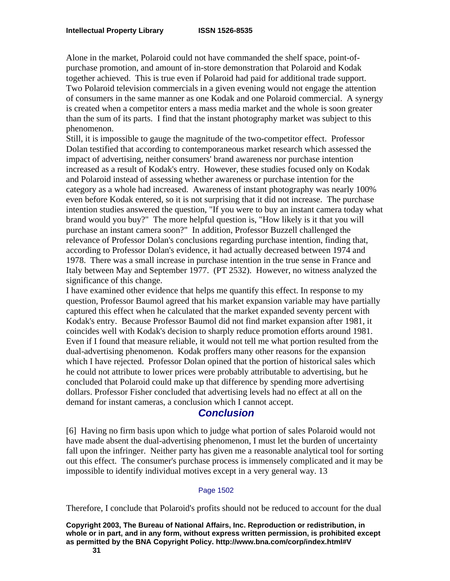Alone in the market, Polaroid could not have commanded the shelf space, point-ofpurchase promotion, and amount of in-store demonstration that Polaroid and Kodak together achieved. This is true even if Polaroid had paid for additional trade support. Two Polaroid television commercials in a given evening would not engage the attention of consumers in the same manner as one Kodak and one Polaroid commercial. A synergy is created when a competitor enters a mass media market and the whole is soon greater than the sum of its parts. I find that the instant photography market was subject to this phenomenon.

Still, it is impossible to gauge the magnitude of the two-competitor effect. Professor Dolan testified that according to contemporaneous market research which assessed the impact of advertising, neither consumers' brand awareness nor purchase intention increased as a result of Kodak's entry. However, these studies focused only on Kodak and Polaroid instead of assessing whether awareness or purchase intention for the category as a whole had increased. Awareness of instant photography was nearly 100% even before Kodak entered, so it is not surprising that it did not increase. The purchase intention studies answered the question, "If you were to buy an instant camera today what brand would you buy?" The more helpful question is, "How likely is it that you will purchase an instant camera soon?" In addition, Professor Buzzell challenged the relevance of Professor Dolan's conclusions regarding purchase intention, finding that, according to Professor Dolan's evidence, it had actually decreased between 1974 and 1978. There was a small increase in purchase intention in the true sense in France and Italy between May and September 1977. (PT 2532). However, no witness analyzed the significance of this change.

I have examined other evidence that helps me quantify this effect. In response to my question, Professor Baumol agreed that his market expansion variable may have partially captured this effect when he calculated that the market expanded seventy percent with Kodak's entry. Because Professor Baumol did not find market expansion after 1981, it coincides well with Kodak's decision to sharply reduce promotion efforts around 1981. Even if I found that measure reliable, it would not tell me what portion resulted from the dual-advertising phenomenon. Kodak proffers many other reasons for the expansion which I have rejected. Professor Dolan opined that the portion of historical sales which he could not attribute to lower prices were probably attributable to advertising, but he concluded that Polaroid could make up that difference by spending more advertising dollars. Professor Fisher concluded that advertising levels had no effect at all on the demand for instant cameras, a conclusion which I cannot accept.

### *Conclusion*

[6] Having no firm basis upon which to judge what portion of sales Polaroid would not have made absent the dual-advertising phenomenon, I must let the burden of uncertainty fall upon the infringer. Neither party has given me a reasonable analytical tool for sorting out this effect. The consumer's purchase process is immensely complicated and it may be impossible to identify individual motives except in a very general way. 13

### Page 1502

Therefore, I conclude that Polaroid's profits should not be reduced to account for the dual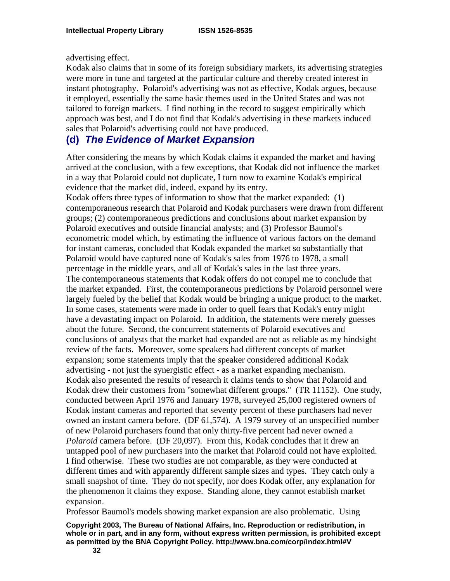advertising effect.

Kodak also claims that in some of its foreign subsidiary markets, its advertising strategies were more in tune and targeted at the particular culture and thereby created interest in instant photography. Polaroid's advertising was not as effective, Kodak argues, because it employed, essentially the same basic themes used in the United States and was not tailored to foreign markets. I find nothing in the record to suggest empirically which approach was best, and I do not find that Kodak's advertising in these markets induced sales that Polaroid's advertising could not have produced.

### **(d)** *The Evidence of Market Expansion*

After considering the means by which Kodak claims it expanded the market and having arrived at the conclusion, with a few exceptions, that Kodak did not influence the market in a way that Polaroid could not duplicate, I turn now to examine Kodak's empirical evidence that the market did, indeed, expand by its entry.

Kodak offers three types of information to show that the market expanded: (1) contemporaneous research that Polaroid and Kodak purchasers were drawn from different groups; (2) contemporaneous predictions and conclusions about market expansion by Polaroid executives and outside financial analysts; and (3) Professor Baumol's econometric model which, by estimating the influence of various factors on the demand for instant cameras, concluded that Kodak expanded the market so substantially that Polaroid would have captured none of Kodak's sales from 1976 to 1978, a small percentage in the middle years, and all of Kodak's sales in the last three years. The contemporaneous statements that Kodak offers do not compel me to conclude that the market expanded. First, the contemporaneous predictions by Polaroid personnel were largely fueled by the belief that Kodak would be bringing a unique product to the market. In some cases, statements were made in order to quell fears that Kodak's entry might have a devastating impact on Polaroid. In addition, the statements were merely guesses about the future. Second, the concurrent statements of Polaroid executives and conclusions of analysts that the market had expanded are not as reliable as my hindsight review of the facts. Moreover, some speakers had different concepts of market expansion; some statements imply that the speaker considered additional Kodak advertising - not just the synergistic effect - as a market expanding mechanism. Kodak also presented the results of research it claims tends to show that Polaroid and Kodak drew their customers from "somewhat different groups." (TR 11152). One study, conducted between April 1976 and January 1978, surveyed 25,000 registered owners of Kodak instant cameras and reported that seventy percent of these purchasers had never owned an instant camera before. (DF 61,574). A 1979 survey of an unspecified number of new Polaroid purchasers found that only thirty-five percent had never owned a *Polaroid* camera before. (DF 20,097). From this, Kodak concludes that it drew an untapped pool of new purchasers into the market that Polaroid could not have exploited. I find otherwise. These two studies are not comparable, as they were conducted at different times and with apparently different sample sizes and types. They catch only a small snapshot of time. They do not specify, nor does Kodak offer, any explanation for the phenomenon it claims they expose. Standing alone, they cannot establish market expansion.

Professor Baumol's models showing market expansion are also problematic. Using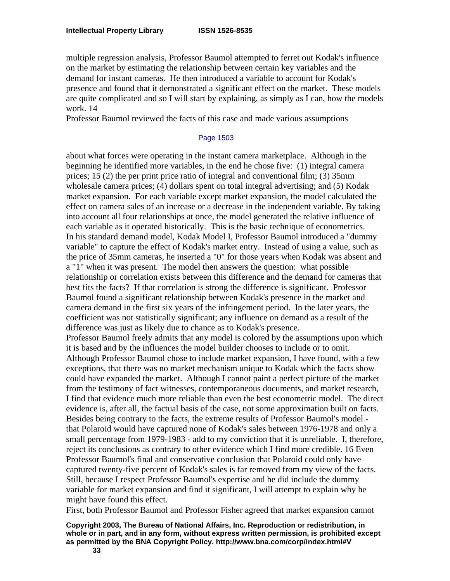multiple regression analysis, Professor Baumol attempted to ferret out Kodak's influence on the market by estimating the relationship between certain key variables and the demand for instant cameras. He then introduced a variable to account for Kodak's presence and found that it demonstrated a significant effect on the market. These models are quite complicated and so I will start by explaining, as simply as I can, how the models work. 14

Professor Baumol reviewed the facts of this case and made various assumptions

### Page 1503

about what forces were operating in the instant camera marketplace. Although in the beginning he identified more variables, in the end he chose five: (1) integral camera prices; 15 (2) the per print price ratio of integral and conventional film; (3) 35mm wholesale camera prices; (4) dollars spent on total integral advertising; and (5) Kodak market expansion. For each variable except market expansion, the model calculated the effect on camera sales of an increase or a decrease in the independent variable. By taking into account all four relationships at once, the model generated the relative influence of each variable as it operated historically. This is the basic technique of econometrics. In his standard demand model, Kodak Model I, Professor Baumol introduced a "dummy variable" to capture the effect of Kodak's market entry. Instead of using a value, such as the price of 35mm cameras, he inserted a "0" for those years when Kodak was absent and a "1" when it was present. The model then answers the question: what possible relationship or correlation exists between this difference and the demand for cameras that best fits the facts? If that correlation is strong the difference is significant. Professor Baumol found a significant relationship between Kodak's presence in the market and camera demand in the first six years of the infringement period. In the later years, the coefficient was not statistically significant; any influence on demand as a result of the difference was just as likely due to chance as to Kodak's presence.

Professor Baumol freely admits that any model is colored by the assumptions upon which it is based and by the influences the model builder chooses to include or to omit. Although Professor Baumol chose to include market expansion, I have found, with a few exceptions, that there was no market mechanism unique to Kodak which the facts show could have expanded the market. Although I cannot paint a perfect picture of the market from the testimony of fact witnesses, contemporaneous documents, and market research, I find that evidence much more reliable than even the best econometric model. The direct evidence is, after all, the factual basis of the case, not some approximation built on facts. Besides being contrary to the facts, the extreme results of Professor Baumol's model that Polaroid would have captured none of Kodak's sales between 1976-1978 and only a small percentage from 1979-1983 - add to my conviction that it is unreliable. I, therefore, reject its conclusions as contrary to other evidence which I find more credible. 16 Even Professor Baumol's final and conservative conclusion that Polaroid could only have captured twenty-five percent of Kodak's sales is far removed from my view of the facts. Still, because I respect Professor Baumol's expertise and he did include the dummy variable for market expansion and find it significant, I will attempt to explain why he might have found this effect.

First, both Professor Baumol and Professor Fisher agreed that market expansion cannot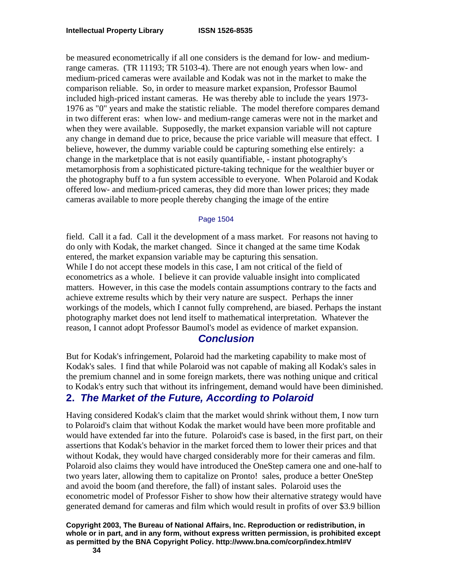#### **Intellectual Property Library ISSN 1526-8535**

be measured econometrically if all one considers is the demand for low- and mediumrange cameras. (TR 11193; TR 5103-4). There are not enough years when low- and medium-priced cameras were available and Kodak was not in the market to make the comparison reliable. So, in order to measure market expansion, Professor Baumol included high-priced instant cameras. He was thereby able to include the years 1973- 1976 as "0" years and make the statistic reliable. The model therefore compares demand in two different eras: when low- and medium-range cameras were not in the market and when they were available. Supposedly, the market expansion variable will not capture any change in demand due to price, because the price variable will measure that effect. I believe, however, the dummy variable could be capturing something else entirely: a change in the marketplace that is not easily quantifiable, - instant photography's metamorphosis from a sophisticated picture-taking technique for the wealthier buyer or the photography buff to a fun system accessible to everyone. When Polaroid and Kodak offered low- and medium-priced cameras, they did more than lower prices; they made cameras available to more people thereby changing the image of the entire

#### Page 1504

field. Call it a fad. Call it the development of a mass market. For reasons not having to do only with Kodak, the market changed. Since it changed at the same time Kodak entered, the market expansion variable may be capturing this sensation. While I do not accept these models in this case, I am not critical of the field of econometrics as a whole. I believe it can provide valuable insight into complicated matters. However, in this case the models contain assumptions contrary to the facts and achieve extreme results which by their very nature are suspect. Perhaps the inner workings of the models, which I cannot fully comprehend, are biased. Perhaps the instant photography market does not lend itself to mathematical interpretation. Whatever the reason, I cannot adopt Professor Baumol's model as evidence of market expansion.

### *Conclusion*

But for Kodak's infringement, Polaroid had the marketing capability to make most of Kodak's sales. I find that while Polaroid was not capable of making all Kodak's sales in the premium channel and in some foreign markets, there was nothing unique and critical to Kodak's entry such that without its infringement, demand would have been diminished.

## **2.** *The Market of the Future, According to Polaroid*

Having considered Kodak's claim that the market would shrink without them, I now turn to Polaroid's claim that without Kodak the market would have been more profitable and would have extended far into the future. Polaroid's case is based, in the first part, on their assertions that Kodak's behavior in the market forced them to lower their prices and that without Kodak, they would have charged considerably more for their cameras and film. Polaroid also claims they would have introduced the OneStep camera one and one-half to two years later, allowing them to capitalize on Pronto! sales, produce a better OneStep and avoid the boom (and therefore, the fall) of instant sales. Polaroid uses the econometric model of Professor Fisher to show how their alternative strategy would have generated demand for cameras and film which would result in profits of over \$3.9 billion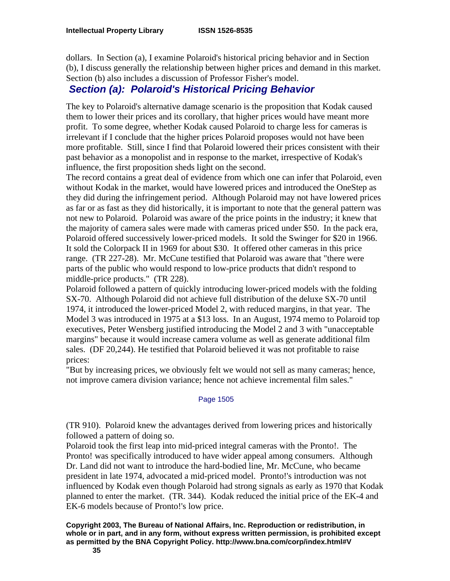dollars. In Section (a), I examine Polaroid's historical pricing behavior and in Section (b), I discuss generally the relationship between higher prices and demand in this market. Section (b) also includes a discussion of Professor Fisher's model.

### *Section (a): Polaroid's Historical Pricing Behavior*

The key to Polaroid's alternative damage scenario is the proposition that Kodak caused them to lower their prices and its corollary, that higher prices would have meant more profit. To some degree, whether Kodak caused Polaroid to charge less for cameras is irrelevant if I conclude that the higher prices Polaroid proposes would not have been more profitable. Still, since I find that Polaroid lowered their prices consistent with their past behavior as a monopolist and in response to the market, irrespective of Kodak's influence, the first proposition sheds light on the second.

The record contains a great deal of evidence from which one can infer that Polaroid, even without Kodak in the market, would have lowered prices and introduced the OneStep as they did during the infringement period. Although Polaroid may not have lowered prices as far or as fast as they did historically, it is important to note that the general pattern was not new to Polaroid. Polaroid was aware of the price points in the industry; it knew that the majority of camera sales were made with cameras priced under \$50. In the pack era, Polaroid offered successively lower-priced models. It sold the Swinger for \$20 in 1966. It sold the Colorpack II in 1969 for about \$30. It offered other cameras in this price range. (TR 227-28). Mr. McCune testified that Polaroid was aware that "there were parts of the public who would respond to low-price products that didn't respond to middle-price products." (TR 228).

Polaroid followed a pattern of quickly introducing lower-priced models with the folding SX-70. Although Polaroid did not achieve full distribution of the deluxe SX-70 until 1974, it introduced the lower-priced Model 2, with reduced margins, in that year. The Model 3 was introduced in 1975 at a \$13 loss. In an August, 1974 memo to Polaroid top executives, Peter Wensberg justified introducing the Model 2 and 3 with "unacceptable margins" because it would increase camera volume as well as generate additional film sales. (DF 20,244). He testified that Polaroid believed it was not profitable to raise prices:

"But by increasing prices, we obviously felt we would not sell as many cameras; hence, not improve camera division variance; hence not achieve incremental film sales."

### Page 1505

(TR 910). Polaroid knew the advantages derived from lowering prices and historically followed a pattern of doing so.

Polaroid took the first leap into mid-priced integral cameras with the Pronto!. The Pronto! was specifically introduced to have wider appeal among consumers. Although Dr. Land did not want to introduce the hard-bodied line, Mr. McCune, who became president in late 1974, advocated a mid-priced model. Pronto!'s introduction was not influenced by Kodak even though Polaroid had strong signals as early as 1970 that Kodak planned to enter the market. (TR. 344). Kodak reduced the initial price of the EK-4 and EK-6 models because of Pronto!'s low price.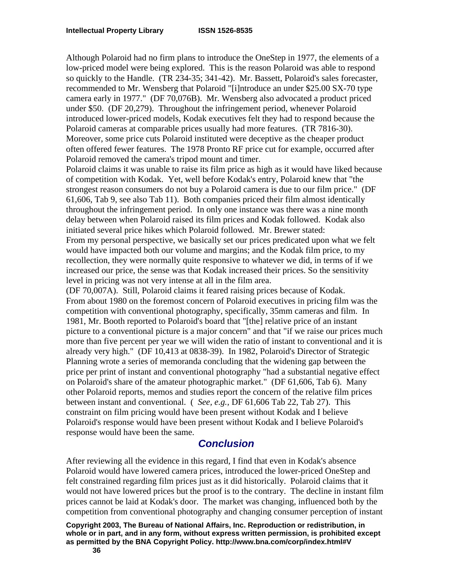Although Polaroid had no firm plans to introduce the OneStep in 1977, the elements of a low-priced model were being explored. This is the reason Polaroid was able to respond so quickly to the Handle. (TR 234-35; 341-42). Mr. Bassett, Polaroid's sales forecaster, recommended to Mr. Wensberg that Polaroid "[i]ntroduce an under \$25.00 SX-70 type camera early in 1977." (DF 70,076B). Mr. Wensberg also advocated a product priced under \$50. (DF 20,279). Throughout the infringement period, whenever Polaroid introduced lower-priced models, Kodak executives felt they had to respond because the Polaroid cameras at comparable prices usually had more features. (TR 7816-30). Moreover, some price cuts Polaroid instituted were deceptive as the cheaper product often offered fewer features. The 1978 Pronto RF price cut for example, occurred after Polaroid removed the camera's tripod mount and timer.

Polaroid claims it was unable to raise its film price as high as it would have liked because of competition with Kodak. Yet, well before Kodak's entry, Polaroid knew that "the strongest reason consumers do not buy a Polaroid camera is due to our film price." (DF 61,606, Tab 9, see also Tab 11). Both companies priced their film almost identically throughout the infringement period. In only one instance was there was a nine month delay between when Polaroid raised its film prices and Kodak followed. Kodak also initiated several price hikes which Polaroid followed. Mr. Brewer stated:

From my personal perspective, we basically set our prices predicated upon what we felt would have impacted both our volume and margins; and the Kodak film price, to my recollection, they were normally quite responsive to whatever we did, in terms of if we increased our price, the sense was that Kodak increased their prices. So the sensitivity level in pricing was not very intense at all in the film area.

(DF 70,007A). Still, Polaroid claims it feared raising prices because of Kodak. From about 1980 on the foremost concern of Polaroid executives in pricing film was the competition with conventional photography, specifically, 35mm cameras and film. In 1981, Mr. Booth reported to Polaroid's board that "[the] relative price of an instant picture to a conventional picture is a major concern" and that "if we raise our prices much more than five percent per year we will widen the ratio of instant to conventional and it is already very high." (DF 10,413 at 0838-39). In 1982, Polaroid's Director of Strategic Planning wrote a series of memoranda concluding that the widening gap between the price per print of instant and conventional photography "had a substantial negative effect on Polaroid's share of the amateur photographic market." (DF 61,606, Tab 6). Many other Polaroid reports, memos and studies report the concern of the relative film prices between instant and conventional. ( *See, e.g.,* DF 61,606 Tab 22, Tab 27). This constraint on film pricing would have been present without Kodak and I believe Polaroid's response would have been present without Kodak and I believe Polaroid's response would have been the same.

### *Conclusion*

After reviewing all the evidence in this regard, I find that even in Kodak's absence Polaroid would have lowered camera prices, introduced the lower-priced OneStep and felt constrained regarding film prices just as it did historically. Polaroid claims that it would not have lowered prices but the proof is to the contrary. The decline in instant film prices cannot be laid at Kodak's door. The market was changing, influenced both by the competition from conventional photography and changing consumer perception of instant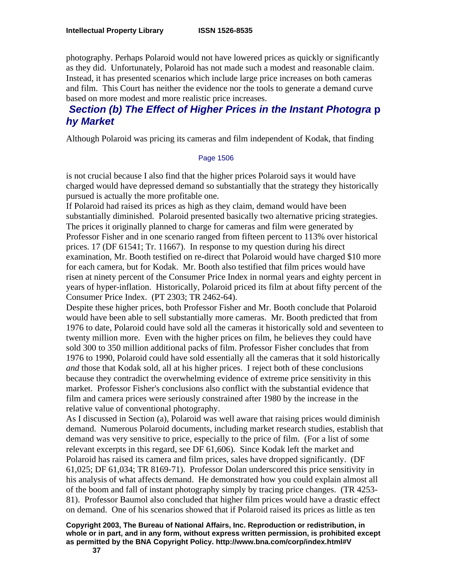photography. Perhaps Polaroid would not have lowered prices as quickly or significantly as they did. Unfortunately, Polaroid has not made such a modest and reasonable claim. Instead, it has presented scenarios which include large price increases on both cameras and film. This Court has neither the evidence nor the tools to generate a demand curve based on more modest and more realistic price increases.

## *Section (b) The Effect of Higher Prices in the Instant Photogra* **p**  *hy Market*

Although Polaroid was pricing its cameras and film independent of Kodak, that finding

#### Page 1506

is not crucial because I also find that the higher prices Polaroid says it would have charged would have depressed demand so substantially that the strategy they historically pursued is actually the more profitable one.

If Polaroid had raised its prices as high as they claim, demand would have been substantially diminished. Polaroid presented basically two alternative pricing strategies. The prices it originally planned to charge for cameras and film were generated by Professor Fisher and in one scenario ranged from fifteen percent to 113% over historical prices. 17 (DF 61541; Tr. 11667). In response to my question during his direct examination, Mr. Booth testified on re-direct that Polaroid would have charged \$10 more for each camera, but for Kodak. Mr. Booth also testified that film prices would have risen at ninety percent of the Consumer Price Index in normal years and eighty percent in years of hyper-inflation. Historically, Polaroid priced its film at about fifty percent of the Consumer Price Index. (PT 2303; TR 2462-64).

Despite these higher prices, both Professor Fisher and Mr. Booth conclude that Polaroid would have been able to sell substantially more cameras. Mr. Booth predicted that from 1976 to date, Polaroid could have sold all the cameras it historically sold and seventeen to twenty million more. Even with the higher prices on film, he believes they could have sold 300 to 350 million additional packs of film. Professor Fisher concludes that from 1976 to 1990, Polaroid could have sold essentially all the cameras that it sold historically *and* those that Kodak sold, all at his higher prices. I reject both of these conclusions because they contradict the overwhelming evidence of extreme price sensitivity in this market. Professor Fisher's conclusions also conflict with the substantial evidence that film and camera prices were seriously constrained after 1980 by the increase in the relative value of conventional photography.

As I discussed in Section (a), Polaroid was well aware that raising prices would diminish demand. Numerous Polaroid documents, including market research studies, establish that demand was very sensitive to price, especially to the price of film. (For a list of some relevant excerpts in this regard, see DF 61,606). Since Kodak left the market and Polaroid has raised its camera and film prices, sales have dropped significantly. (DF 61,025; DF 61,034; TR 8169-71). Professor Dolan underscored this price sensitivity in his analysis of what affects demand. He demonstrated how you could explain almost all of the boom and fall of instant photography simply by tracing price changes. (TR 4253- 81). Professor Baumol also concluded that higher film prices would have a drastic effect on demand. One of his scenarios showed that if Polaroid raised its prices as little as ten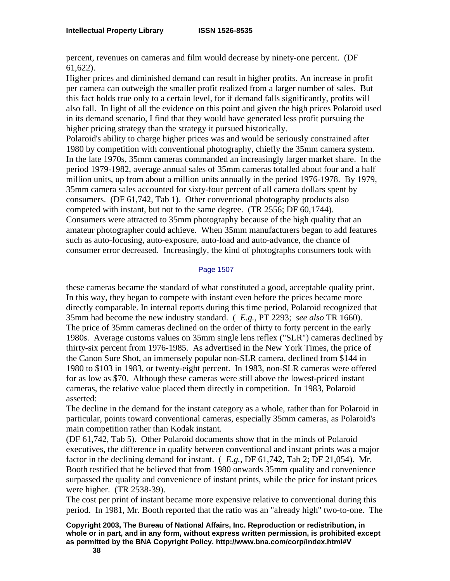percent, revenues on cameras and film would decrease by ninety-one percent. (DF 61,622).

Higher prices and diminished demand can result in higher profits. An increase in profit per camera can outweigh the smaller profit realized from a larger number of sales. But this fact holds true only to a certain level, for if demand falls significantly, profits will also fall. In light of all the evidence on this point and given the high prices Polaroid used in its demand scenario, I find that they would have generated less profit pursuing the higher pricing strategy than the strategy it pursued historically.

Polaroid's ability to charge higher prices was and would be seriously constrained after 1980 by competition with conventional photography, chiefly the 35mm camera system. In the late 1970s, 35mm cameras commanded an increasingly larger market share. In the period 1979-1982, average annual sales of 35mm cameras totalled about four and a half million units, up from about a million units annually in the period 1976-1978. By 1979, 35mm camera sales accounted for sixty-four percent of all camera dollars spent by consumers. (DF 61,742, Tab 1). Other conventional photography products also competed with instant, but not to the same degree. (TR 2556; DF 60,1744). Consumers were attracted to 35mm photography because of the high quality that an amateur photographer could achieve. When 35mm manufacturers began to add features such as auto-focusing, auto-exposure, auto-load and auto-advance, the chance of consumer error decreased. Increasingly, the kind of photographs consumers took with

#### Page 1507

these cameras became the standard of what constituted a good, acceptable quality print. In this way, they began to compete with instant even before the prices became more directly comparable. In internal reports during this time period, Polaroid recognized that 35mm had become the new industry standard. ( *E.g.,* PT 2293; *see also* TR 1660). The price of 35mm cameras declined on the order of thirty to forty percent in the early 1980s. Average customs values on 35mm single lens reflex ("SLR") cameras declined by thirty-six percent from 1976-1985. As advertised in the New York Times, the price of the Canon Sure Shot, an immensely popular non-SLR camera, declined from \$144 in 1980 to \$103 in 1983, or twenty-eight percent. In 1983, non-SLR cameras were offered for as low as \$70. Although these cameras were still above the lowest-priced instant cameras, the relative value placed them directly in competition. In 1983, Polaroid asserted:

The decline in the demand for the instant category as a whole, rather than for Polaroid in particular, points toward conventional cameras, especially 35mm cameras, as Polaroid's main competition rather than Kodak instant.

(DF 61,742, Tab 5). Other Polaroid documents show that in the minds of Polaroid executives, the difference in quality between conventional and instant prints was a major factor in the declining demand for instant. ( *E.g.,* DF 61,742, Tab 2; DF 21,054). Mr. Booth testified that he believed that from 1980 onwards 35mm quality and convenience surpassed the quality and convenience of instant prints, while the price for instant prices were higher. (TR 2538-39).

The cost per print of instant became more expensive relative to conventional during this period. In 1981, Mr. Booth reported that the ratio was an "already high" two-to-one. The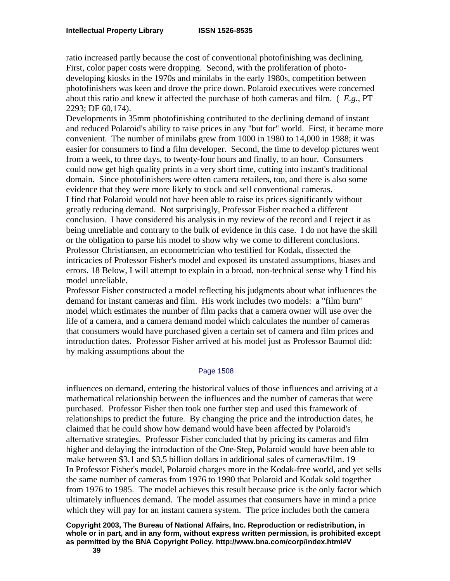ratio increased partly because the cost of conventional photofinishing was declining. First, color paper costs were dropping. Second, with the proliferation of photodeveloping kiosks in the 1970s and minilabs in the early 1980s, competition between photofinishers was keen and drove the price down. Polaroid executives were concerned about this ratio and knew it affected the purchase of both cameras and film. ( *E.g.,* PT 2293; DF 60,174).

Developments in 35mm photofinishing contributed to the declining demand of instant and reduced Polaroid's ability to raise prices in any "but for" world. First, it became more convenient. The number of minilabs grew from 1000 in 1980 to 14,000 in 1988; it was easier for consumers to find a film developer. Second, the time to develop pictures went from a week, to three days, to twenty-four hours and finally, to an hour. Consumers could now get high quality prints in a very short time, cutting into instant's traditional domain. Since photofinishers were often camera retailers, too, and there is also some evidence that they were more likely to stock and sell conventional cameras. I find that Polaroid would not have been able to raise its prices significantly without greatly reducing demand. Not surprisingly, Professor Fisher reached a different conclusion. I have considered his analysis in my review of the record and I reject it as being unreliable and contrary to the bulk of evidence in this case. I do not have the skill or the obligation to parse his model to show why we come to different conclusions. Professor Christiansen, an econometrician who testified for Kodak, dissected the intricacies of Professor Fisher's model and exposed its unstated assumptions, biases and errors. 18 Below, I will attempt to explain in a broad, non-technical sense why I find his model unreliable.

Professor Fisher constructed a model reflecting his judgments about what influences the demand for instant cameras and film. His work includes two models: a "film burn" model which estimates the number of film packs that a camera owner will use over the life of a camera, and a camera demand model which calculates the number of cameras that consumers would have purchased given a certain set of camera and film prices and introduction dates. Professor Fisher arrived at his model just as Professor Baumol did: by making assumptions about the

### Page 1508

influences on demand, entering the historical values of those influences and arriving at a mathematical relationship between the influences and the number of cameras that were purchased. Professor Fisher then took one further step and used this framework of relationships to predict the future. By changing the price and the introduction dates, he claimed that he could show how demand would have been affected by Polaroid's alternative strategies. Professor Fisher concluded that by pricing its cameras and film higher and delaying the introduction of the One-Step, Polaroid would have been able to make between \$3.1 and \$3.5 billion dollars in additional sales of cameras/film. 19 In Professor Fisher's model, Polaroid charges more in the Kodak-free world, and yet sells the same number of cameras from 1976 to 1990 that Polaroid and Kodak sold together from 1976 to 1985. The model achieves this result because price is the only factor which ultimately influences demand. The model assumes that consumers have in mind a price which they will pay for an instant camera system. The price includes both the camera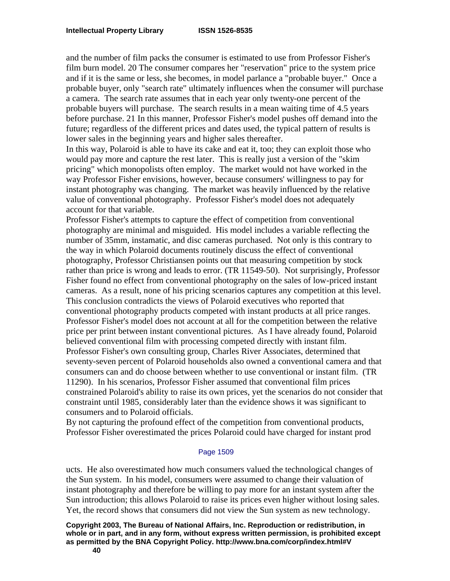and the number of film packs the consumer is estimated to use from Professor Fisher's film burn model. 20 The consumer compares her "reservation" price to the system price and if it is the same or less, she becomes, in model parlance a "probable buyer." Once a probable buyer, only "search rate" ultimately influences when the consumer will purchase a camera. The search rate assumes that in each year only twenty-one percent of the probable buyers will purchase. The search results in a mean waiting time of 4.5 years before purchase. 21 In this manner, Professor Fisher's model pushes off demand into the future; regardless of the different prices and dates used, the typical pattern of results is lower sales in the beginning years and higher sales thereafter.

In this way, Polaroid is able to have its cake and eat it, too; they can exploit those who would pay more and capture the rest later. This is really just a version of the "skim pricing" which monopolists often employ. The market would not have worked in the way Professor Fisher envisions, however, because consumers' willingness to pay for instant photography was changing. The market was heavily influenced by the relative value of conventional photography. Professor Fisher's model does not adequately account for that variable.

Professor Fisher's attempts to capture the effect of competition from conventional photography are minimal and misguided. His model includes a variable reflecting the number of 35mm, instamatic, and disc cameras purchased. Not only is this contrary to the way in which Polaroid documents routinely discuss the effect of conventional photography, Professor Christiansen points out that measuring competition by stock rather than price is wrong and leads to error. (TR 11549-50). Not surprisingly, Professor Fisher found no effect from conventional photography on the sales of low-priced instant cameras. As a result, none of his pricing scenarios captures any competition at this level. This conclusion contradicts the views of Polaroid executives who reported that conventional photography products competed with instant products at all price ranges. Professor Fisher's model does not account at all for the competition between the relative price per print between instant conventional pictures. As I have already found, Polaroid believed conventional film with processing competed directly with instant film. Professor Fisher's own consulting group, Charles River Associates, determined that seventy-seven percent of Polaroid households also owned a conventional camera and that consumers can and do choose between whether to use conventional or instant film. (TR 11290). In his scenarios, Professor Fisher assumed that conventional film prices constrained Polaroid's ability to raise its own prices, yet the scenarios do not consider that constraint until 1985, considerably later than the evidence shows it was significant to consumers and to Polaroid officials.

By not capturing the profound effect of the competition from conventional products, Professor Fisher overestimated the prices Polaroid could have charged for instant prod

#### Page 1509

ucts. He also overestimated how much consumers valued the technological changes of the Sun system. In his model, consumers were assumed to change their valuation of instant photography and therefore be willing to pay more for an instant system after the Sun introduction; this allows Polaroid to raise its prices even higher without losing sales. Yet, the record shows that consumers did not view the Sun system as new technology.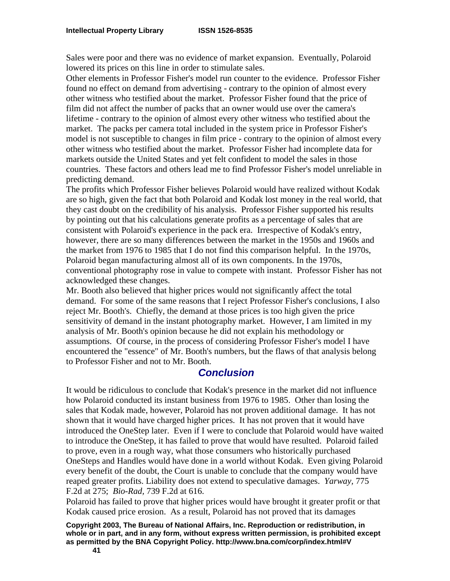Sales were poor and there was no evidence of market expansion. Eventually, Polaroid lowered its prices on this line in order to stimulate sales.

Other elements in Professor Fisher's model run counter to the evidence. Professor Fisher found no effect on demand from advertising - contrary to the opinion of almost every other witness who testified about the market. Professor Fisher found that the price of film did not affect the number of packs that an owner would use over the camera's lifetime - contrary to the opinion of almost every other witness who testified about the market. The packs per camera total included in the system price in Professor Fisher's model is not susceptible to changes in film price - contrary to the opinion of almost every other witness who testified about the market. Professor Fisher had incomplete data for markets outside the United States and yet felt confident to model the sales in those countries. These factors and others lead me to find Professor Fisher's model unreliable in predicting demand.

The profits which Professor Fisher believes Polaroid would have realized without Kodak are so high, given the fact that both Polaroid and Kodak lost money in the real world, that they cast doubt on the credibility of his analysis. Professor Fisher supported his results by pointing out that his calculations generate profits as a percentage of sales that are consistent with Polaroid's experience in the pack era. Irrespective of Kodak's entry, however, there are so many differences between the market in the 1950s and 1960s and the market from 1976 to 1985 that I do not find this comparison helpful. In the 1970s, Polaroid began manufacturing almost all of its own components. In the 1970s, conventional photography rose in value to compete with instant. Professor Fisher has not acknowledged these changes.

Mr. Booth also believed that higher prices would not significantly affect the total demand. For some of the same reasons that I reject Professor Fisher's conclusions, I also reject Mr. Booth's. Chiefly, the demand at those prices is too high given the price sensitivity of demand in the instant photography market. However, I am limited in my analysis of Mr. Booth's opinion because he did not explain his methodology or assumptions. Of course, in the process of considering Professor Fisher's model I have encountered the "essence" of Mr. Booth's numbers, but the flaws of that analysis belong to Professor Fisher and not to Mr. Booth.

## *Conclusion*

It would be ridiculous to conclude that Kodak's presence in the market did not influence how Polaroid conducted its instant business from 1976 to 1985. Other than losing the sales that Kodak made, however, Polaroid has not proven additional damage. It has not shown that it would have charged higher prices. It has not proven that it would have introduced the OneStep later. Even if I were to conclude that Polaroid would have waited to introduce the OneStep, it has failed to prove that would have resulted. Polaroid failed to prove, even in a rough way, what those consumers who historically purchased OneSteps and Handles would have done in a world without Kodak. Even giving Polaroid every benefit of the doubt, the Court is unable to conclude that the company would have reaped greater profits. Liability does not extend to speculative damages. *Yarway,* 775 F.2d at 275; *Bio-Rad,* 739 F.2d at 616.

Polaroid has failed to prove that higher prices would have brought it greater profit or that Kodak caused price erosion. As a result, Polaroid has not proved that its damages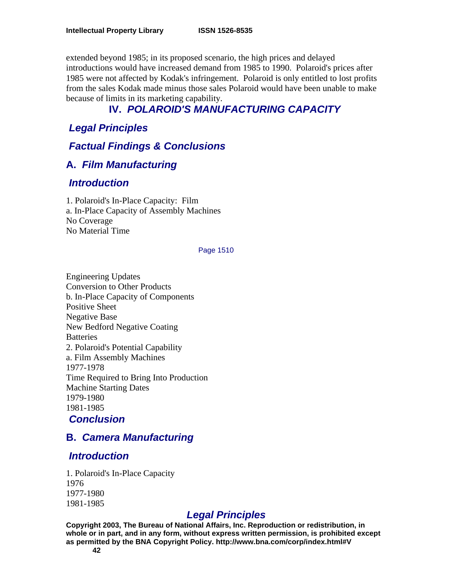extended beyond 1985; in its proposed scenario, the high prices and delayed introductions would have increased demand from 1985 to 1990. Polaroid's prices after 1985 were not affected by Kodak's infringement. Polaroid is only entitled to lost profits from the sales Kodak made minus those sales Polaroid would have been unable to make because of limits in its marketing capability.

## **IV.** *POLAROID'S MANUFACTURING CAPACITY*

## *Legal Principles*

## *Factual Findings & Conclusions*

## **A.** *Film Manufacturing*

### *Introduction*

1. Polaroid's In-Place Capacity: Film a. In-Place Capacity of Assembly Machines No Coverage No Material Time

### Page 1510

Engineering Updates Conversion to Other Products b. In-Place Capacity of Components Positive Sheet Negative Base New Bedford Negative Coating **Batteries** 2. Polaroid's Potential Capability a. Film Assembly Machines 1977-1978 Time Required to Bring Into Production Machine Starting Dates 1979-1980 1981-1985  *Conclusion* 

## **B.** *Camera Manufacturing*

### *Introduction*

1. Polaroid's In-Place Capacity 1976 1977-1980 1981-1985

## *Legal Principles*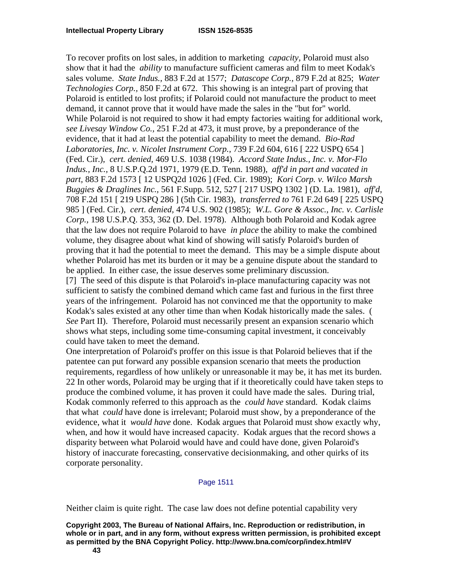To recover profits on lost sales, in addition to marketing *capacity,* Polaroid must also show that it had the *ability* to manufacture sufficient cameras and film to meet Kodak's sales volume. *State Indus.,* 883 F.2d at 1577; *Datascope Corp.,* 879 F.2d at 825; *Water Technologies Corp.,* 850 F.2d at 672. This showing is an integral part of proving that Polaroid is entitled to lost profits; if Polaroid could not manufacture the product to meet demand, it cannot prove that it would have made the sales in the "but for" world. While Polaroid is not required to show it had empty factories waiting for additional work, *see Livesay Window Co.,* 251 F.2d at 473, it must prove, by a preponderance of the evidence, that it had at least the potential capability to meet the demand. *Bio-Rad Laboratories, Inc. v. Nicolet Instrument Corp.,* 739 F.2d 604, 616 [ 222 USPQ 654 ] (Fed. Cir.), *cert. denied,* 469 U.S. 1038 (1984). *Accord State Indus., Inc. v. Mor-Flo Indus., Inc.,* 8 U.S.P.Q.2d 1971, 1979 (E.D. Tenn. 1988), *aff'd in part and vacated in part,* 883 F.2d 1573 [ 12 USPQ2d 1026 ] (Fed. Cir. 1989); *Kori Corp. v. Wilco Marsh Buggies & Draglines Inc.,* 561 F.Supp. 512, 527 [ 217 USPQ 1302 ] (D. La. 1981), *aff'd,*  708 F.2d 151 [ 219 USPQ 286 ] (5th Cir. 1983), *transferred to* 761 F.2d 649 [ 225 USPQ 985 ] (Fed. Cir.), *cert. denied,* 474 U.S. 902 (1985); *W.L. Gore & Assoc., Inc. v. Carlisle Corp.,* 198 U.S.P.Q. 353, 362 (D. Del. 1978). Although both Polaroid and Kodak agree that the law does not require Polaroid to have *in place* the ability to make the combined volume, they disagree about what kind of showing will satisfy Polaroid's burden of proving that it had the potential to meet the demand. This may be a simple dispute about whether Polaroid has met its burden or it may be a genuine dispute about the standard to be applied. In either case, the issue deserves some preliminary discussion. [7] The seed of this dispute is that Polaroid's in-place manufacturing capacity was not sufficient to satisfy the combined demand which came fast and furious in the first three

years of the infringement. Polaroid has not convinced me that the opportunity to make Kodak's sales existed at any other time than when Kodak historically made the sales. ( *See* Part II). Therefore, Polaroid must necessarily present an expansion scenario which shows what steps, including some time-consuming capital investment, it conceivably could have taken to meet the demand.

One interpretation of Polaroid's proffer on this issue is that Polaroid believes that if the patentee can put forward any possible expansion scenario that meets the production requirements, regardless of how unlikely or unreasonable it may be, it has met its burden. 22 In other words, Polaroid may be urging that if it theoretically could have taken steps to produce the combined volume, it has proven it could have made the sales. During trial, Kodak commonly referred to this approach as the *could have* standard. Kodak claims that what *could* have done is irrelevant; Polaroid must show, by a preponderance of the evidence, what it *would have* done. Kodak argues that Polaroid must show exactly why, when, and how it would have increased capacity. Kodak argues that the record shows a disparity between what Polaroid would have and could have done, given Polaroid's history of inaccurate forecasting, conservative decisionmaking, and other quirks of its corporate personality.

#### Page 1511

Neither claim is quite right. The case law does not define potential capability very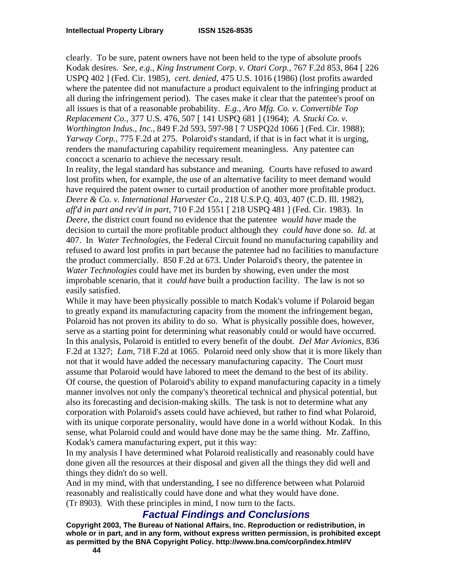clearly. To be sure, patent owners have not been held to the type of absolute proofs Kodak desires. *See, e.g., King Instrument Corp. v. Otari Corp.,* 767 F.2d 853, 864 [ 226 USPQ 402 ] (Fed. Cir. 1985), *cert. denied,* 475 U.S. 1016 (1986) (lost profits awarded where the patentee did not manufacture a product equivalent to the infringing product at all during the infringement period). The cases make it clear that the patentee's proof on all issues is that of a reasonable probability. *E.g., Aro Mfg. Co. v. Convertible Top Replacement Co.,* 377 U.S. 476, 507 [ 141 USPQ 681 ] (1964); *A. Stucki Co. v. Worthington Indus., Inc.,* 849 F.2d 593, 597-98 [ 7 USPQ2d 1066 ] (Fed. Cir. 1988); *Yarway Corp.,* 775 F.2d at 275. Polaroid's standard, if that is in fact what it is urging, renders the manufacturing capability requirement meaningless. Any patentee can concoct a scenario to achieve the necessary result.

In reality, the legal standard has substance and meaning. Courts have refused to award lost profits when, for example, the use of an alternative facility to meet demand would have required the patent owner to curtail production of another more profitable product. *Deere & Co. v. International Harvester Co.,* 218 U.S.P.Q. 403, 407 (C.D. Ill. 1982), *aff'd in part and rev'd in part,* 710 F.2d 1551 [ 218 USPQ 481 ] (Fed. Cir. 1983). In *Deere,* the district court found no evidence that the patentee *would have* made the decision to curtail the more profitable product although they *could have* done so. *Id.* at 407. In *Water Technologies,* the Federal Circuit found no manufacturing capability and refused to award lost profits in part because the patentee had no facilities to manufacture the product commercially. 850 F.2d at 673. Under Polaroid's theory, the patentee in *Water Technologies* could have met its burden by showing, even under the most improbable scenario, that it *could have* built a production facility. The law is not so easily satisfied.

While it may have been physically possible to match Kodak's volume if Polaroid began to greatly expand its manufacturing capacity from the moment the infringement began, Polaroid has not proven its ability to do so. What is physically possible does, however, serve as a starting point for determining what reasonably could or would have occurred. In this analysis, Polaroid is entitled to every benefit of the doubt. *Del Mar Avionics,* 836 F.2d at 1327; *Lam,* 718 F.2d at 1065. Polaroid need only show that it is more likely than not that it would have added the necessary manufacturing capacity. The Court must assume that Polaroid would have labored to meet the demand to the best of its ability. Of course, the question of Polaroid's ability to expand manufacturing capacity in a timely manner involves not only the company's theoretical technical and physical potential, but also its forecasting and decision-making skills. The task is not to determine what any corporation with Polaroid's assets could have achieved, but rather to find what Polaroid, with its unique corporate personality, would have done in a world without Kodak. In this sense, what Polaroid could and would have done may be the same thing. Mr. Zaffino, Kodak's camera manufacturing expert, put it this way:

In my analysis I have determined what Polaroid realistically and reasonably could have done given all the resources at their disposal and given all the things they did well and things they didn't do so well.

And in my mind, with that understanding, I see no difference between what Polaroid reasonably and realistically could have done and what they would have done. (Tr 8903). With these principles in mind, I now turn to the facts.

### *Factual Findings and Conclusions*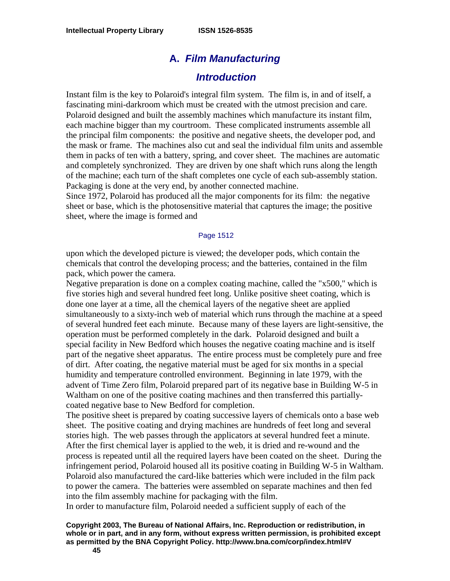## **A.** *Film Manufacturing*

### *Introduction*

Instant film is the key to Polaroid's integral film system. The film is, in and of itself, a fascinating mini-darkroom which must be created with the utmost precision and care. Polaroid designed and built the assembly machines which manufacture its instant film, each machine bigger than my courtroom. These complicated instruments assemble all the principal film components: the positive and negative sheets, the developer pod, and the mask or frame. The machines also cut and seal the individual film units and assemble them in packs of ten with a battery, spring, and cover sheet. The machines are automatic and completely synchronized. They are driven by one shaft which runs along the length of the machine; each turn of the shaft completes one cycle of each sub-assembly station. Packaging is done at the very end, by another connected machine.

Since 1972, Polaroid has produced all the major components for its film: the negative sheet or base, which is the photosensitive material that captures the image; the positive sheet, where the image is formed and

#### Page 1512

upon which the developed picture is viewed; the developer pods, which contain the chemicals that control the developing process; and the batteries, contained in the film pack, which power the camera.

Negative preparation is done on a complex coating machine, called the "x500," which is five stories high and several hundred feet long. Unlike positive sheet coating, which is done one layer at a time, all the chemical layers of the negative sheet are applied simultaneously to a sixty-inch web of material which runs through the machine at a speed of several hundred feet each minute. Because many of these layers are light-sensitive, the operation must be performed completely in the dark. Polaroid designed and built a special facility in New Bedford which houses the negative coating machine and is itself part of the negative sheet apparatus. The entire process must be completely pure and free of dirt. After coating, the negative material must be aged for six months in a special humidity and temperature controlled environment. Beginning in late 1979, with the advent of Time Zero film, Polaroid prepared part of its negative base in Building W-5 in Waltham on one of the positive coating machines and then transferred this partiallycoated negative base to New Bedford for completion.

The positive sheet is prepared by coating successive layers of chemicals onto a base web sheet. The positive coating and drying machines are hundreds of feet long and several stories high. The web passes through the applicators at several hundred feet a minute. After the first chemical layer is applied to the web, it is dried and re-wound and the process is repeated until all the required layers have been coated on the sheet. During the infringement period, Polaroid housed all its positive coating in Building W-5 in Waltham. Polaroid also manufactured the card-like batteries which were included in the film pack to power the camera. The batteries were assembled on separate machines and then fed into the film assembly machine for packaging with the film.

In order to manufacture film, Polaroid needed a sufficient supply of each of the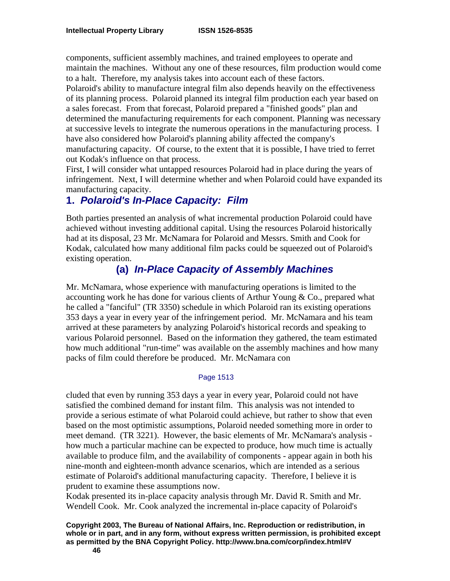components, sufficient assembly machines, and trained employees to operate and maintain the machines. Without any one of these resources, film production would come to a halt. Therefore, my analysis takes into account each of these factors.

Polaroid's ability to manufacture integral film also depends heavily on the effectiveness of its planning process. Polaroid planned its integral film production each year based on a sales forecast. From that forecast, Polaroid prepared a "finished goods" plan and determined the manufacturing requirements for each component. Planning was necessary at successive levels to integrate the numerous operations in the manufacturing process. I have also considered how Polaroid's planning ability affected the company's manufacturing capacity. Of course, to the extent that it is possible, I have tried to ferret out Kodak's influence on that process.

First, I will consider what untapped resources Polaroid had in place during the years of infringement. Next, I will determine whether and when Polaroid could have expanded its manufacturing capacity.

## **1.** *Polaroid's In-Place Capacity: Film*

Both parties presented an analysis of what incremental production Polaroid could have achieved without investing additional capital. Using the resources Polaroid historically had at its disposal, 23 Mr. McNamara for Polaroid and Messrs. Smith and Cook for Kodak, calculated how many additional film packs could be squeezed out of Polaroid's existing operation.

## **(a)** *In-Place Capacity of Assembly Machines*

Mr. McNamara, whose experience with manufacturing operations is limited to the accounting work he has done for various clients of Arthur Young & Co., prepared what he called a "fanciful" (TR 3350) schedule in which Polaroid ran its existing operations 353 days a year in every year of the infringement period. Mr. McNamara and his team arrived at these parameters by analyzing Polaroid's historical records and speaking to various Polaroid personnel. Based on the information they gathered, the team estimated how much additional "run-time" was available on the assembly machines and how many packs of film could therefore be produced. Mr. McNamara con

### Page 1513

cluded that even by running 353 days a year in every year, Polaroid could not have satisfied the combined demand for instant film. This analysis was not intended to provide a serious estimate of what Polaroid could achieve, but rather to show that even based on the most optimistic assumptions, Polaroid needed something more in order to meet demand. (TR 3221). However, the basic elements of Mr. McNamara's analysis how much a particular machine can be expected to produce, how much time is actually available to produce film, and the availability of components - appear again in both his nine-month and eighteen-month advance scenarios, which are intended as a serious estimate of Polaroid's additional manufacturing capacity. Therefore, I believe it is prudent to examine these assumptions now.

Kodak presented its in-place capacity analysis through Mr. David R. Smith and Mr. Wendell Cook. Mr. Cook analyzed the incremental in-place capacity of Polaroid's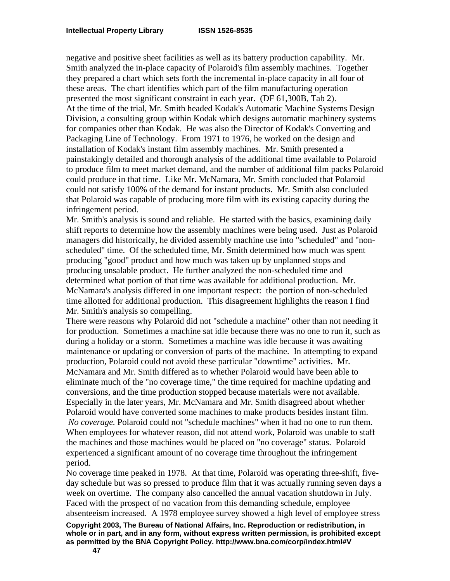negative and positive sheet facilities as well as its battery production capability. Mr. Smith analyzed the in-place capacity of Polaroid's film assembly machines. Together they prepared a chart which sets forth the incremental in-place capacity in all four of these areas. The chart identifies which part of the film manufacturing operation presented the most significant constraint in each year. (DF 61,300B, Tab 2). At the time of the trial, Mr. Smith headed Kodak's Automatic Machine Systems Design Division, a consulting group within Kodak which designs automatic machinery systems for companies other than Kodak. He was also the Director of Kodak's Converting and Packaging Line of Technology. From 1971 to 1976, he worked on the design and installation of Kodak's instant film assembly machines. Mr. Smith presented a painstakingly detailed and thorough analysis of the additional time available to Polaroid to produce film to meet market demand, and the number of additional film packs Polaroid could produce in that time. Like Mr. McNamara, Mr. Smith concluded that Polaroid could not satisfy 100% of the demand for instant products. Mr. Smith also concluded that Polaroid was capable of producing more film with its existing capacity during the infringement period.

Mr. Smith's analysis is sound and reliable. He started with the basics, examining daily shift reports to determine how the assembly machines were being used. Just as Polaroid managers did historically, he divided assembly machine use into "scheduled" and "nonscheduled" time. Of the scheduled time, Mr. Smith determined how much was spent producing "good" product and how much was taken up by unplanned stops and producing unsalable product. He further analyzed the non-scheduled time and determined what portion of that time was available for additional production. Mr. McNamara's analysis differed in one important respect: the portion of non-scheduled time allotted for additional production. This disagreement highlights the reason I find Mr. Smith's analysis so compelling.

There were reasons why Polaroid did not "schedule a machine" other than not needing it for production. Sometimes a machine sat idle because there was no one to run it, such as during a holiday or a storm. Sometimes a machine was idle because it was awaiting maintenance or updating or conversion of parts of the machine. In attempting to expand production, Polaroid could not avoid these particular "downtime" activities. Mr. McNamara and Mr. Smith differed as to whether Polaroid would have been able to eliminate much of the "no coverage time," the time required for machine updating and conversions, and the time production stopped because materials were not available. Especially in the later years, Mr. McNamara and Mr. Smith disagreed about whether Polaroid would have converted some machines to make products besides instant film.  *No coverage.* Polaroid could not "schedule machines" when it had no one to run them. When employees for whatever reason, did not attend work, Polaroid was unable to staff the machines and those machines would be placed on "no coverage" status. Polaroid experienced a significant amount of no coverage time throughout the infringement period.

No coverage time peaked in 1978. At that time, Polaroid was operating three-shift, fiveday schedule but was so pressed to produce film that it was actually running seven days a week on overtime. The company also cancelled the annual vacation shutdown in July. Faced with the prospect of no vacation from this demanding schedule, employee absenteeism increased. A 1978 employee survey showed a high level of employee stress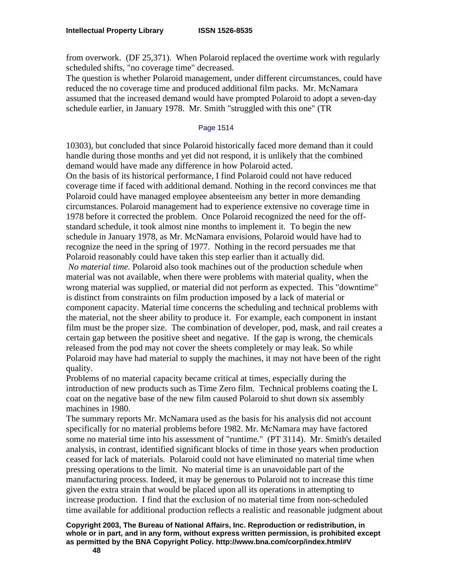from overwork. (DF 25,371). When Polaroid replaced the overtime work with regularly scheduled shifts, "no coverage time" decreased.

The question is whether Polaroid management, under different circumstances, could have reduced the no coverage time and produced additional film packs. Mr. McNamara assumed that the increased demand would have prompted Polaroid to adopt a seven-day schedule earlier, in January 1978. Mr. Smith "struggled with this one" (TR

#### Page 1514

10303), but concluded that since Polaroid historically faced more demand than it could handle during those months and yet did not respond, it is unlikely that the combined demand would have made any difference in how Polaroid acted.

On the basis of its historical performance, I find Polaroid could not have reduced coverage time if faced with additional demand. Nothing in the record convinces me that Polaroid could have managed employee absenteeism any better in more demanding circumstances. Polaroid management had to experience extensive no coverage time in 1978 before it corrected the problem. Once Polaroid recognized the need for the offstandard schedule, it took almost nine months to implement it. To begin the new schedule in January 1978, as Mr. McNamara envisions, Polaroid would have had to recognize the need in the spring of 1977. Nothing in the record persuades me that Polaroid reasonably could have taken this step earlier than it actually did.

 *No material time.* Polaroid also took machines out of the production schedule when material was not available, when there were problems with material quality, when the wrong material was supplied, or material did not perform as expected. This "downtime" is distinct from constraints on film production imposed by a lack of material or component capacity. Material time concerns the scheduling and technical problems with the material, not the sheer ability to produce it. For example, each component in instant film must be the proper size. The combination of developer, pod, mask, and rail creates a certain gap between the positive sheet and negative. If the gap is wrong, the chemicals released from the pod may not cover the sheets completely or may leak. So while Polaroid may have had material to supply the machines, it may not have been of the right quality.

Problems of no material capacity became critical at times, especially during the introduction of new products such as Time Zero film. Technical problems coating the L coat on the negative base of the new film caused Polaroid to shut down six assembly machines in 1980.

The summary reports Mr. McNamara used as the basis for his analysis did not account specifically for no material problems before 1982. Mr. McNamara may have factored some no material time into his assessment of "runtime." (PT 3114). Mr. Smith's detailed analysis, in contrast, identified significant blocks of time in those years when production ceased for lack of materials. Polaroid could not have eliminated no material time when pressing operations to the limit. No material time is an unavoidable part of the manufacturing process. Indeed, it may be generous to Polaroid not to increase this time given the extra strain that would be placed upon all its operations in attempting to increase production. I find that the exclusion of no material time from non-scheduled time available for additional production reflects a realistic and reasonable judgment about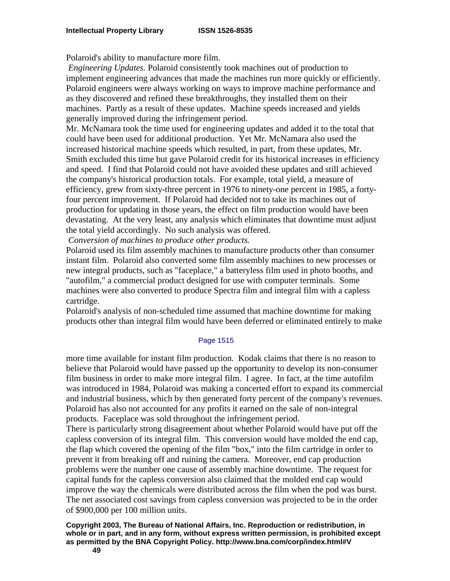Polaroid's ability to manufacture more film.

 *Engineering Updates.* Polaroid consistently took machines out of production to implement engineering advances that made the machines run more quickly or efficiently. Polaroid engineers were always working on ways to improve machine performance and as they discovered and refined these breakthroughs, they installed them on their machines. Partly as a result of these updates. Machine speeds increased and yields generally improved during the infringement period.

Mr. McNamara took the time used for engineering updates and added it to the total that could have been used for additional production. Yet Mr. McNamara also used the increased historical machine speeds which resulted, in part, from these updates, Mr. Smith excluded this time but gave Polaroid credit for its historical increases in efficiency and speed. I find that Polaroid could not have avoided these updates and still achieved the company's historical production totals. For example, total yield, a measure of efficiency, grew from sixty-three percent in 1976 to ninety-one percent in 1985, a fortyfour percent improvement. If Polaroid had decided not to take its machines out of production for updating in those years, the effect on film production would have been devastating. At the very least, any analysis which eliminates that downtime must adjust the total yield accordingly. No such analysis was offered.

 *Conversion of machines to produce other products.* 

Polaroid used its film assembly machines to manufacture products other than consumer instant film. Polaroid also converted some film assembly machines to new processes or new integral products, such as "faceplace," a batteryless film used in photo booths, and "autofilm," a commercial product designed for use with computer terminals. Some machines were also converted to produce Spectra film and integral film with a capless cartridge.

Polaroid's analysis of non-scheduled time assumed that machine downtime for making products other than integral film would have been deferred or eliminated entirely to make

#### Page 1515

more time available for instant film production. Kodak claims that there is no reason to believe that Polaroid would have passed up the opportunity to develop its non-consumer film business in order to make more integral film. I agree. In fact, at the time autofilm was introduced in 1984, Polaroid was making a concerted effort to expand its commercial and industrial business, which by then generated forty percent of the company's revenues. Polaroid has also not accounted for any profits it earned on the sale of non-integral products. Faceplace was sold throughout the infringement period.

There is particularly strong disagreement about whether Polaroid would have put off the capless conversion of its integral film. This conversion would have molded the end cap, the flap which covered the opening of the film "box," into the film cartridge in order to prevent it from breaking off and ruining the camera. Moreover, end cap production problems were the number one cause of assembly machine downtime. The request for capital funds for the capless conversion also claimed that the molded end cap would improve the way the chemicals were distributed across the film when the pod was burst. The net associated cost savings from capless conversion was projected to be in the order of \$900,000 per 100 million units.